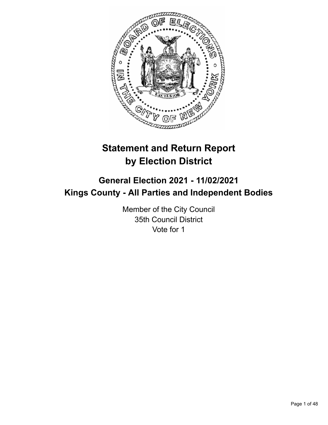

# **Statement and Return Report by Election District**

# **General Election 2021 - 11/02/2021 Kings County - All Parties and Independent Bodies**

Member of the City Council 35th Council District Vote for 1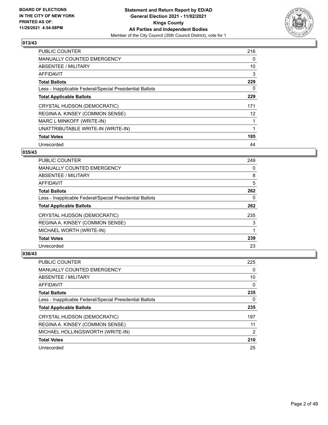

| <b>PUBLIC COUNTER</b>                                    | 216 |
|----------------------------------------------------------|-----|
| <b>MANUALLY COUNTED EMERGENCY</b>                        | 0   |
| ABSENTEE / MILITARY                                      | 10  |
| <b>AFFIDAVIT</b>                                         | 3   |
| <b>Total Ballots</b>                                     | 229 |
| Less - Inapplicable Federal/Special Presidential Ballots | 0   |
| <b>Total Applicable Ballots</b>                          | 229 |
| CRYSTAL HUDSON (DEMOCRATIC)                              | 171 |
| REGINA A. KINSEY (COMMON SENSE)                          | 12  |
| MARC L MINKOFF (WRITE-IN)                                |     |
| UNATTRIBUTABLE WRITE-IN (WRITE-IN)                       |     |
| <b>Total Votes</b>                                       | 185 |
| Unrecorded                                               | 44  |

# **035/43**

| <b>PUBLIC COUNTER</b>                                    | 249 |
|----------------------------------------------------------|-----|
| <b>MANUALLY COUNTED EMERGENCY</b>                        | 0   |
| ABSENTEE / MILITARY                                      | 8   |
| <b>AFFIDAVIT</b>                                         | 5   |
| <b>Total Ballots</b>                                     | 262 |
| Less - Inapplicable Federal/Special Presidential Ballots | 0   |
| <b>Total Applicable Ballots</b>                          | 262 |
| CRYSTAL HUDSON (DEMOCRATIC)                              | 235 |
| REGINA A. KINSEY (COMMON SENSE)                          | 3   |
| MICHAEL WORTH (WRITE-IN)                                 |     |
| <b>Total Votes</b>                                       | 239 |
| Unrecorded                                               | 23  |

| <b>PUBLIC COUNTER</b>                                    | 225            |
|----------------------------------------------------------|----------------|
| <b>MANUALLY COUNTED EMERGENCY</b>                        | 0              |
| ABSENTEE / MILITARY                                      | 10             |
| AFFIDAVIT                                                | 0              |
| <b>Total Ballots</b>                                     | 235            |
| Less - Inapplicable Federal/Special Presidential Ballots | 0              |
| <b>Total Applicable Ballots</b>                          | 235            |
| CRYSTAL HUDSON (DEMOCRATIC)                              | 197            |
| REGINA A. KINSEY (COMMON SENSE)                          | 11             |
| MICHAEL HOLLINGSWORTH (WRITE-IN)                         | $\overline{2}$ |
| <b>Total Votes</b>                                       | 210            |
|                                                          |                |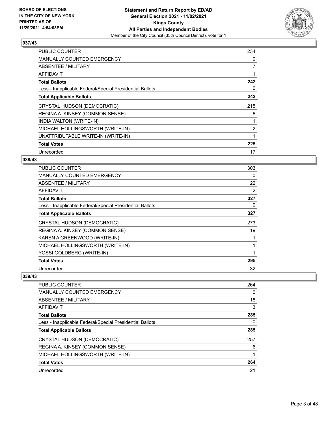

| <b>PUBLIC COUNTER</b>                                    | 234            |
|----------------------------------------------------------|----------------|
| <b>MANUALLY COUNTED EMERGENCY</b>                        | 0              |
| <b>ABSENTEE / MILITARY</b>                               | 7              |
| <b>AFFIDAVIT</b>                                         |                |
| <b>Total Ballots</b>                                     | 242            |
| Less - Inapplicable Federal/Special Presidential Ballots | 0              |
| <b>Total Applicable Ballots</b>                          | 242            |
| CRYSTAL HUDSON (DEMOCRATIC)                              | 215            |
| REGINA A. KINSEY (COMMON SENSE)                          | 6              |
|                                                          |                |
| INDIA WALTON (WRITE-IN)                                  |                |
| MICHAEL HOLLINGSWORTH (WRITE-IN)                         | $\overline{2}$ |
| UNATTRIBUTABLE WRITE-IN (WRITE-IN)                       |                |
| <b>Total Votes</b>                                       | 225            |

# **038/43**

| PUBLIC COUNTER                                           | 303 |
|----------------------------------------------------------|-----|
| <b>MANUALLY COUNTED EMERGENCY</b>                        | 0   |
| ABSENTEE / MILITARY                                      | 22  |
| AFFIDAVIT                                                | 2   |
| <b>Total Ballots</b>                                     | 327 |
| Less - Inapplicable Federal/Special Presidential Ballots | 0   |
| <b>Total Applicable Ballots</b>                          | 327 |
| CRYSTAL HUDSON (DEMOCRATIC)                              | 273 |
| REGINA A. KINSEY (COMMON SENSE)                          | 19  |
| KAREN A GREENWOOD (WRITE-IN)                             |     |
| MICHAEL HOLLINGSWORTH (WRITE-IN)                         |     |
| YOSSI GOLDBERG (WRITE-IN)                                |     |
| <b>Total Votes</b>                                       | 295 |
| Unrecorded                                               | 32  |

| <b>PUBLIC COUNTER</b>                                    | 264 |
|----------------------------------------------------------|-----|
| <b>MANUALLY COUNTED EMERGENCY</b>                        | 0   |
| ABSENTEE / MILITARY                                      | 18  |
| AFFIDAVIT                                                | 3   |
| <b>Total Ballots</b>                                     | 285 |
| Less - Inapplicable Federal/Special Presidential Ballots | 0   |
| <b>Total Applicable Ballots</b>                          | 285 |
| CRYSTAL HUDSON (DEMOCRATIC)                              | 257 |
| REGINA A. KINSEY (COMMON SENSE)                          | 6   |
| MICHAEL HOLLINGSWORTH (WRITE-IN)                         |     |
| <b>Total Votes</b>                                       | 264 |
| Unrecorded                                               | 21  |
|                                                          |     |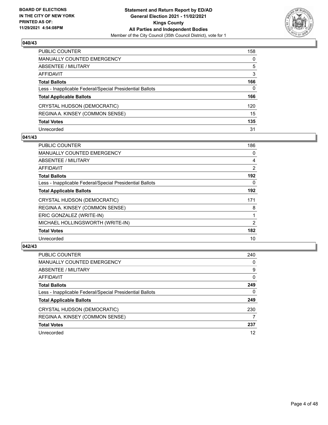

| PUBLIC COUNTER                                           | 158          |
|----------------------------------------------------------|--------------|
| <b>MANUALLY COUNTED EMERGENCY</b>                        | $\mathbf{0}$ |
| <b>ABSENTEE / MILITARY</b>                               | 5            |
| AFFIDAVIT                                                | 3            |
| <b>Total Ballots</b>                                     | 166          |
| Less - Inapplicable Federal/Special Presidential Ballots | $\mathbf{0}$ |
| <b>Total Applicable Ballots</b>                          | 166          |
| CRYSTAL HUDSON (DEMOCRATIC)                              | 120          |
| REGINA A. KINSEY (COMMON SENSE)                          | 15           |
| <b>Total Votes</b>                                       | 135          |
| Unrecorded                                               | 31           |

## **041/43**

| PUBLIC COUNTER                                           | 186 |
|----------------------------------------------------------|-----|
| <b>MANUALLY COUNTED EMERGENCY</b>                        | 0   |
| <b>ABSENTEE / MILITARY</b>                               | 4   |
| AFFIDAVIT                                                | 2   |
| <b>Total Ballots</b>                                     | 192 |
| Less - Inapplicable Federal/Special Presidential Ballots | 0   |
| <b>Total Applicable Ballots</b>                          | 192 |
| CRYSTAL HUDSON (DEMOCRATIC)                              | 171 |
| REGINA A. KINSEY (COMMON SENSE)                          | 8   |
| ERIC GONZALEZ (WRITE-IN)                                 | 1   |
| MICHAEL HOLLINGSWORTH (WRITE-IN)                         | 2   |
| <b>Total Votes</b>                                       | 182 |
| Unrecorded                                               | 10  |

| <b>PUBLIC COUNTER</b>                                    | 240      |
|----------------------------------------------------------|----------|
| <b>MANUALLY COUNTED EMERGENCY</b>                        | 0        |
| ABSENTEE / MILITARY                                      | 9        |
| AFFIDAVIT                                                | $\Omega$ |
| <b>Total Ballots</b>                                     | 249      |
| Less - Inapplicable Federal/Special Presidential Ballots | 0        |
| <b>Total Applicable Ballots</b>                          | 249      |
| CRYSTAL HUDSON (DEMOCRATIC)                              | 230      |
| REGINA A. KINSEY (COMMON SENSE)                          |          |
| <b>Total Votes</b>                                       | 237      |
| Unrecorded                                               | 12       |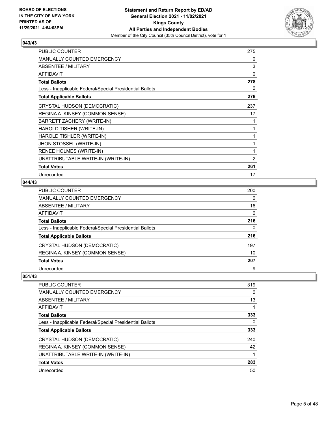

| <b>PUBLIC COUNTER</b>                                    | 275 |
|----------------------------------------------------------|-----|
| <b>MANUALLY COUNTED EMERGENCY</b>                        | 0   |
| ABSENTEE / MILITARY                                      | 3   |
| <b>AFFIDAVIT</b>                                         | 0   |
| <b>Total Ballots</b>                                     | 278 |
| Less - Inapplicable Federal/Special Presidential Ballots | 0   |
| <b>Total Applicable Ballots</b>                          | 278 |
| CRYSTAL HUDSON (DEMOCRATIC)                              | 237 |
| REGINA A. KINSEY (COMMON SENSE)                          | 17  |
| BARRETT ZACHERY (WRITE-IN)                               | 1   |
| HAROLD TISHER (WRITE-IN)                                 | 1   |
| HAROLD TISHLER (WRITE-IN)                                | 1   |
| JHON STOSSEL (WRITE-IN)                                  | 1   |
| RENEE HOLMES (WRITE-IN)                                  | 1   |
| UNATTRIBUTABLE WRITE-IN (WRITE-IN)                       | 2   |
| <b>Total Votes</b>                                       | 261 |
| Unrecorded                                               | 17  |

# **044/43**

| PUBLIC COUNTER                                           | 200 |
|----------------------------------------------------------|-----|
| MANUALLY COUNTED EMERGENCY                               | 0   |
| ABSENTEE / MILITARY                                      | 16  |
| AFFIDAVIT                                                | 0   |
| Total Ballots                                            | 216 |
| Less - Inapplicable Federal/Special Presidential Ballots | 0   |
| <b>Total Applicable Ballots</b>                          | 216 |
| CRYSTAL HUDSON (DEMOCRATIC)                              | 197 |
| REGINA A. KINSEY (COMMON SENSE)                          | 10  |
| <b>Total Votes</b>                                       | 207 |
| Unrecorded                                               | 9   |

| PUBLIC COUNTER                                           | 319 |
|----------------------------------------------------------|-----|
| <b>MANUALLY COUNTED EMERGENCY</b>                        | 0   |
| ABSENTEE / MILITARY                                      | 13  |
| AFFIDAVIT                                                |     |
| <b>Total Ballots</b>                                     | 333 |
| Less - Inapplicable Federal/Special Presidential Ballots | 0   |
| <b>Total Applicable Ballots</b>                          | 333 |
| CRYSTAL HUDSON (DEMOCRATIC)                              | 240 |
| REGINA A. KINSEY (COMMON SENSE)                          | 42  |
| UNATTRIBUTABLE WRITE-IN (WRITE-IN)                       |     |
| <b>Total Votes</b>                                       | 283 |
| Unrecorded                                               | 50  |
|                                                          |     |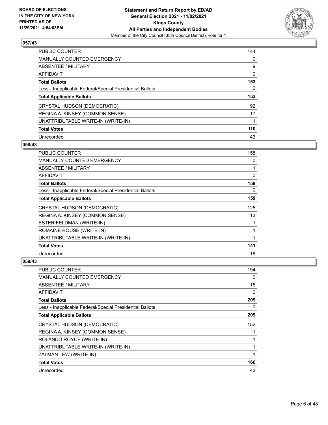

| <b>PUBLIC COUNTER</b>                                    | 144 |
|----------------------------------------------------------|-----|
| <b>MANUALLY COUNTED EMERGENCY</b>                        | 0   |
| ABSENTEE / MILITARY                                      | 9   |
| AFFIDAVIT                                                | 0   |
| <b>Total Ballots</b>                                     | 153 |
| Less - Inapplicable Federal/Special Presidential Ballots | 0   |
| <b>Total Applicable Ballots</b>                          | 153 |
| CRYSTAL HUDSON (DEMOCRATIC)                              | 92  |
| REGINA A. KINSEY (COMMON SENSE)                          | 17  |
| UNATTRIBUTABLE WRITE-IN (WRITE-IN)                       |     |
| <b>Total Votes</b>                                       | 110 |
| Unrecorded                                               | 43  |

#### **058/43**

| <b>PUBLIC COUNTER</b>                                    | 158 |
|----------------------------------------------------------|-----|
| <b>MANUALLY COUNTED EMERGENCY</b>                        | 0   |
| ABSENTEE / MILITARY                                      | 1   |
| <b>AFFIDAVIT</b>                                         | 0   |
| <b>Total Ballots</b>                                     | 159 |
| Less - Inapplicable Federal/Special Presidential Ballots | 0   |
| <b>Total Applicable Ballots</b>                          | 159 |
| CRYSTAL HUDSON (DEMOCRATIC)                              | 125 |
| REGINA A. KINSEY (COMMON SENSE)                          | 13  |
| ESTER FELDMAN (WRITE-IN)                                 |     |
| ROMAINE ROUSE (WRITE-IN)                                 | 1   |
| UNATTRIBUTABLE WRITE-IN (WRITE-IN)                       |     |
| <b>Total Votes</b>                                       | 141 |
| Unrecorded                                               | 18  |

| PUBLIC COUNTER                                           | 194      |
|----------------------------------------------------------|----------|
| MANUALLY COUNTED EMERGENCY                               | 0        |
| ABSENTEE / MILITARY                                      | 15       |
| <b>AFFIDAVIT</b>                                         | $\Omega$ |
| <b>Total Ballots</b>                                     | 209      |
| Less - Inapplicable Federal/Special Presidential Ballots | 0        |
| <b>Total Applicable Ballots</b>                          | 209      |
| CRYSTAL HUDSON (DEMOCRATIC)                              | 152      |
| REGINA A. KINSEY (COMMON SENSE)                          | 11       |
| ROLANDO ROYCE (WRITE-IN)                                 |          |
| UNATTRIBUTABLE WRITE-IN (WRITE-IN)                       |          |
| ZALMAN LEW (WRITE-IN)                                    |          |
| <b>Total Votes</b>                                       | 166      |
| Unrecorded                                               | 43       |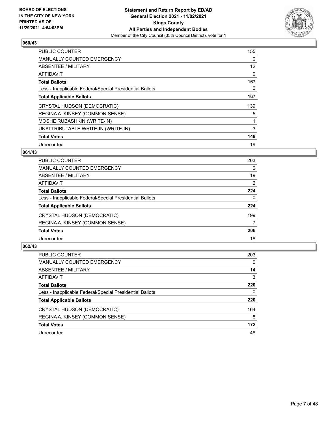

| PUBLIC COUNTER                                           | 155 |
|----------------------------------------------------------|-----|
| <b>MANUALLY COUNTED EMERGENCY</b>                        | 0   |
| ABSENTEE / MILITARY                                      | 12  |
| <b>AFFIDAVIT</b>                                         | 0   |
| <b>Total Ballots</b>                                     | 167 |
| Less - Inapplicable Federal/Special Presidential Ballots | 0   |
| <b>Total Applicable Ballots</b>                          | 167 |
| CRYSTAL HUDSON (DEMOCRATIC)                              | 139 |
| REGINA A. KINSEY (COMMON SENSE)                          | 5   |
| <b>MOSHE RUBASHKIN (WRITE-IN)</b>                        |     |
| UNATTRIBUTABLE WRITE-IN (WRITE-IN)                       | 3   |
| <b>Total Votes</b>                                       | 148 |
| Unrecorded                                               | 19  |

# **061/43**

| 203            |
|----------------|
| 0              |
| 19             |
| $\overline{2}$ |
| 224            |
| 0              |
| 224            |
| 199            |
|                |
| 206            |
| 18             |
|                |

| <b>PUBLIC COUNTER</b>                                    | 203      |
|----------------------------------------------------------|----------|
| <b>MANUALLY COUNTED EMERGENCY</b>                        | $\Omega$ |
| ABSENTEE / MILITARY                                      | 14       |
| AFFIDAVIT                                                | 3        |
| <b>Total Ballots</b>                                     | 220      |
| Less - Inapplicable Federal/Special Presidential Ballots | 0        |
| <b>Total Applicable Ballots</b>                          | 220      |
| CRYSTAL HUDSON (DEMOCRATIC)                              | 164      |
| REGINA A. KINSEY (COMMON SENSE)                          | 8        |
| <b>Total Votes</b>                                       | 172      |
| Unrecorded                                               | 48       |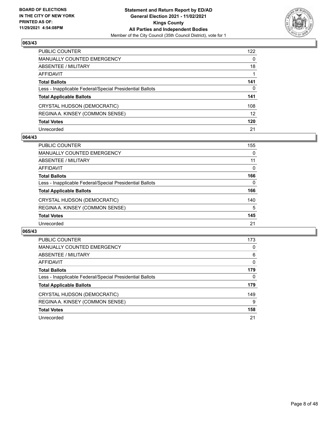

| PUBLIC COUNTER                                           | 122             |
|----------------------------------------------------------|-----------------|
| <b>MANUALLY COUNTED EMERGENCY</b>                        | $\mathbf{0}$    |
| <b>ABSENTEE / MILITARY</b>                               | 18              |
| <b>AFFIDAVIT</b>                                         |                 |
| <b>Total Ballots</b>                                     | 141             |
| Less - Inapplicable Federal/Special Presidential Ballots | 0               |
| <b>Total Applicable Ballots</b>                          | 141             |
| CRYSTAL HUDSON (DEMOCRATIC)                              | 108             |
| REGINA A. KINSEY (COMMON SENSE)                          | 12 <sup>2</sup> |
| <b>Total Votes</b>                                       | 120             |
| Unrecorded                                               | 21              |

#### **064/43**

| <b>PUBLIC COUNTER</b>                                    | 155 |
|----------------------------------------------------------|-----|
| <b>MANUALLY COUNTED EMERGENCY</b>                        | 0   |
| ABSENTEE / MILITARY                                      | 11  |
| AFFIDAVIT                                                | 0   |
| <b>Total Ballots</b>                                     | 166 |
| Less - Inapplicable Federal/Special Presidential Ballots | 0   |
| <b>Total Applicable Ballots</b>                          | 166 |
| CRYSTAL HUDSON (DEMOCRATIC)                              | 140 |
| REGINA A. KINSEY (COMMON SENSE)                          | 5   |
| <b>Total Votes</b>                                       | 145 |
| Unrecorded                                               | 21  |

| <b>PUBLIC COUNTER</b>                                    | 173      |
|----------------------------------------------------------|----------|
| <b>MANUALLY COUNTED EMERGENCY</b>                        | 0        |
| ABSENTEE / MILITARY                                      | 6        |
| <b>AFFIDAVIT</b>                                         | $\Omega$ |
| <b>Total Ballots</b>                                     | 179      |
| Less - Inapplicable Federal/Special Presidential Ballots | 0        |
| <b>Total Applicable Ballots</b>                          | 179      |
| CRYSTAL HUDSON (DEMOCRATIC)                              | 149      |
| REGINA A. KINSEY (COMMON SENSE)                          | 9        |
| <b>Total Votes</b>                                       | 158      |
| Unrecorded                                               | 21       |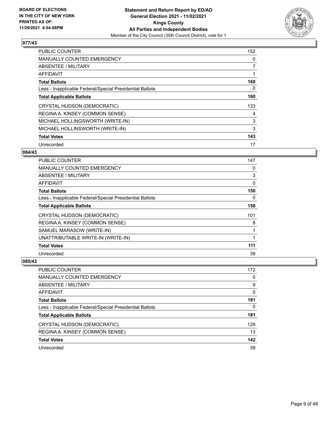

| <b>PUBLIC COUNTER</b>                                    | 152            |
|----------------------------------------------------------|----------------|
| <b>MANUALLY COUNTED EMERGENCY</b>                        | 0              |
| ABSENTEE / MILITARY                                      | $\overline{7}$ |
| AFFIDAVIT                                                |                |
| <b>Total Ballots</b>                                     | 160            |
| Less - Inapplicable Federal/Special Presidential Ballots | 0              |
| <b>Total Applicable Ballots</b>                          | 160            |
| CRYSTAL HUDSON (DEMOCRATIC)                              | 133            |
| REGINA A. KINSEY (COMMON SENSE)                          | 4              |
| MICHAEL HOLLINGSWORTH (WRITE-IN)                         | 3              |
| MICHAEL HOLLINSWORTH (WRITE-IN)                          | 3              |
| <b>Total Votes</b>                                       | 143            |
| Unrecorded                                               | 17             |

## **084/43**

| <b>PUBLIC COUNTER</b>                                    | 147 |
|----------------------------------------------------------|-----|
| <b>MANUALLY COUNTED EMERGENCY</b>                        | 0   |
| ABSENTEE / MILITARY                                      | 3   |
| AFFIDAVIT                                                | 0   |
| <b>Total Ballots</b>                                     | 150 |
| Less - Inapplicable Federal/Special Presidential Ballots | 0   |
| <b>Total Applicable Ballots</b>                          | 150 |
| CRYSTAL HUDSON (DEMOCRATIC)                              | 101 |
| REGINA A. KINSEY (COMMON SENSE)                          | 8   |
| SAMUEL MARASOW (WRITE-IN)                                | 1   |
| UNATTRIBUTABLE WRITE-IN (WRITE-IN)                       | 1   |
| <b>Total Votes</b>                                       | 111 |
| Unrecorded                                               | 39  |

| <b>PUBLIC COUNTER</b>                                    | 172 |
|----------------------------------------------------------|-----|
| <b>MANUALLY COUNTED EMERGENCY</b>                        | 0   |
| ABSENTEE / MILITARY                                      | 9   |
| AFFIDAVIT                                                | 0   |
| <b>Total Ballots</b>                                     | 181 |
| Less - Inapplicable Federal/Special Presidential Ballots | 0   |
| <b>Total Applicable Ballots</b>                          | 181 |
| CRYSTAL HUDSON (DEMOCRATIC)                              | 129 |
| REGINA A. KINSEY (COMMON SENSE)                          | 13  |
| <b>Total Votes</b>                                       | 142 |
| Unrecorded                                               | 39  |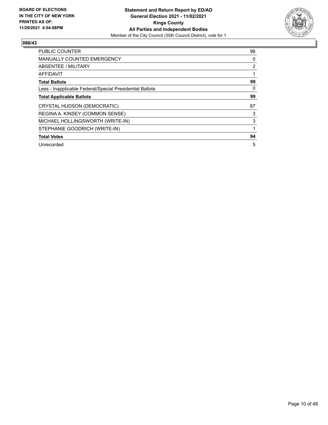

| <b>PUBLIC COUNTER</b>                                    | 96       |
|----------------------------------------------------------|----------|
| MANUALLY COUNTED EMERGENCY                               | 0        |
| ABSENTEE / MILITARY                                      | 2        |
| <b>AFFIDAVIT</b>                                         |          |
| <b>Total Ballots</b>                                     | 99       |
| Less - Inapplicable Federal/Special Presidential Ballots | $\Omega$ |
| <b>Total Applicable Ballots</b>                          | 99       |
| CRYSTAL HUDSON (DEMOCRATIC)                              | 87       |
| REGINA A. KINSEY (COMMON SENSE)                          | 3        |
| MICHAEL HOLLINGSWORTH (WRITE-IN)                         | 3        |
| STEPHANIE GOODRICH (WRITE-IN)                            |          |
| <b>Total Votes</b>                                       | 94       |
| Unrecorded                                               | 5        |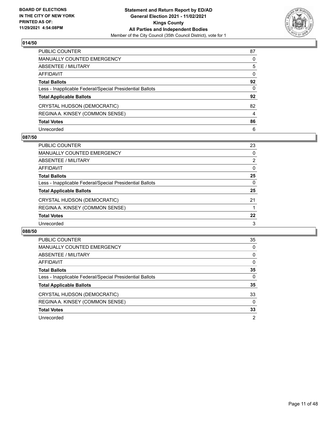

| PUBLIC COUNTER                                           | 87           |
|----------------------------------------------------------|--------------|
| MANUALLY COUNTED EMERGENCY                               | $\Omega$     |
| ABSENTEE / MILITARY                                      | 5            |
| <b>AFFIDAVIT</b>                                         | $\mathbf{0}$ |
| <b>Total Ballots</b>                                     | 92           |
| Less - Inapplicable Federal/Special Presidential Ballots | 0            |
| <b>Total Applicable Ballots</b>                          | 92           |
| CRYSTAL HUDSON (DEMOCRATIC)                              | 82           |
| REGINA A. KINSEY (COMMON SENSE)                          | 4            |
| <b>Total Votes</b>                                       | 86           |
| Unrecorded                                               | 6            |

## **087/50**

| <b>PUBLIC COUNTER</b>                                    | 23             |
|----------------------------------------------------------|----------------|
| <b>MANUALLY COUNTED EMERGENCY</b>                        | 0              |
| ABSENTEE / MILITARY                                      | $\overline{2}$ |
| AFFIDAVIT                                                | $\Omega$       |
| <b>Total Ballots</b>                                     | 25             |
| Less - Inapplicable Federal/Special Presidential Ballots | 0              |
| <b>Total Applicable Ballots</b>                          | 25             |
| CRYSTAL HUDSON (DEMOCRATIC)                              | 21             |
| REGINA A. KINSEY (COMMON SENSE)                          |                |
| <b>Total Votes</b>                                       | 22             |
| Unrecorded                                               | 3              |

| PUBLIC COUNTER                                           | 35       |
|----------------------------------------------------------|----------|
| <b>MANUALLY COUNTED EMERGENCY</b>                        | $\Omega$ |
| ABSENTEE / MILITARY                                      | $\Omega$ |
| <b>AFFIDAVIT</b>                                         | $\Omega$ |
| <b>Total Ballots</b>                                     | 35       |
| Less - Inapplicable Federal/Special Presidential Ballots | $\Omega$ |
| <b>Total Applicable Ballots</b>                          | 35       |
| CRYSTAL HUDSON (DEMOCRATIC)                              | 33       |
| REGINA A. KINSEY (COMMON SENSE)                          | 0        |
| <b>Total Votes</b>                                       | 33       |
| Unrecorded                                               |          |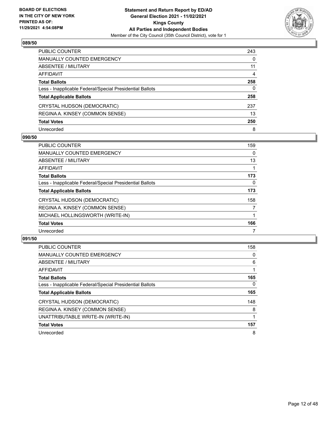

| PUBLIC COUNTER                                           | 243      |
|----------------------------------------------------------|----------|
| <b>MANUALLY COUNTED EMERGENCY</b>                        | $\Omega$ |
| <b>ABSENTEE / MILITARY</b>                               | 11       |
| <b>AFFIDAVIT</b>                                         | 4        |
| <b>Total Ballots</b>                                     | 258      |
| Less - Inapplicable Federal/Special Presidential Ballots | 0        |
| <b>Total Applicable Ballots</b>                          | 258      |
| CRYSTAL HUDSON (DEMOCRATIC)                              | 237      |
| REGINA A. KINSEY (COMMON SENSE)                          | 13       |
| <b>Total Votes</b>                                       | 250      |
| Unrecorded                                               | 8        |

## **090/50**

| <b>PUBLIC COUNTER</b>                                    | 159 |
|----------------------------------------------------------|-----|
| <b>MANUALLY COUNTED EMERGENCY</b>                        | 0   |
| ABSENTEE / MILITARY                                      | 13  |
| AFFIDAVIT                                                |     |
| <b>Total Ballots</b>                                     | 173 |
| Less - Inapplicable Federal/Special Presidential Ballots | 0   |
| <b>Total Applicable Ballots</b>                          | 173 |
| CRYSTAL HUDSON (DEMOCRATIC)                              | 158 |
| REGINA A. KINSEY (COMMON SENSE)                          | 7   |
| MICHAEL HOLLINGSWORTH (WRITE-IN)                         |     |
| <b>Total Votes</b>                                       | 166 |
| Unrecorded                                               |     |

| <b>PUBLIC COUNTER</b>                                    | 158      |
|----------------------------------------------------------|----------|
| <b>MANUALLY COUNTED EMERGENCY</b>                        | 0        |
| ABSENTEE / MILITARY                                      | 6        |
| <b>AFFIDAVIT</b>                                         |          |
| <b>Total Ballots</b>                                     | 165      |
| Less - Inapplicable Federal/Special Presidential Ballots | $\Omega$ |
| <b>Total Applicable Ballots</b>                          | 165      |
| CRYSTAL HUDSON (DEMOCRATIC)                              | 148      |
| REGINA A. KINSEY (COMMON SENSE)                          | 8        |
| UNATTRIBUTABLE WRITE-IN (WRITE-IN)                       |          |
| <b>Total Votes</b>                                       | 157      |
| Unrecorded                                               | 8        |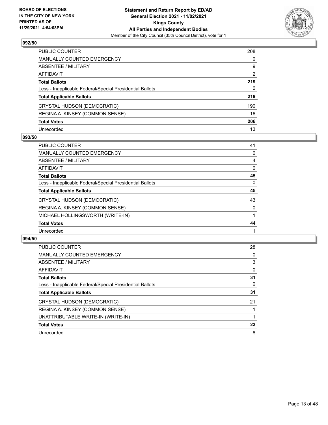

| PUBLIC COUNTER                                           | 208            |
|----------------------------------------------------------|----------------|
| <b>MANUALLY COUNTED EMERGENCY</b>                        | $\mathbf{0}$   |
| <b>ABSENTEE / MILITARY</b>                               | 9              |
| AFFIDAVIT                                                | $\overline{2}$ |
| <b>Total Ballots</b>                                     | 219            |
| Less - Inapplicable Federal/Special Presidential Ballots | $\mathbf{0}$   |
| <b>Total Applicable Ballots</b>                          | 219            |
| CRYSTAL HUDSON (DEMOCRATIC)                              | 190            |
| REGINA A. KINSEY (COMMON SENSE)                          | 16             |
| <b>Total Votes</b>                                       | 206            |
| Unrecorded                                               | 13             |

## **093/50**

| <b>PUBLIC COUNTER</b>                                    | 41       |
|----------------------------------------------------------|----------|
| <b>MANUALLY COUNTED EMERGENCY</b>                        | 0        |
| ABSENTEE / MILITARY                                      | 4        |
| AFFIDAVIT                                                | $\Omega$ |
| <b>Total Ballots</b>                                     | 45       |
| Less - Inapplicable Federal/Special Presidential Ballots | 0        |
| <b>Total Applicable Ballots</b>                          | 45       |
| CRYSTAL HUDSON (DEMOCRATIC)                              | 43       |
| REGINA A. KINSEY (COMMON SENSE)                          | 0        |
| MICHAEL HOLLINGSWORTH (WRITE-IN)                         |          |
| <b>Total Votes</b>                                       | 44       |
| Unrecorded                                               |          |

| PUBLIC COUNTER                                           | 28       |
|----------------------------------------------------------|----------|
| <b>MANUALLY COUNTED EMERGENCY</b>                        | 0        |
| ABSENTEE / MILITARY                                      | 3        |
| AFFIDAVIT                                                | $\Omega$ |
| <b>Total Ballots</b>                                     | 31       |
| Less - Inapplicable Federal/Special Presidential Ballots | $\Omega$ |
| <b>Total Applicable Ballots</b>                          | 31       |
| CRYSTAL HUDSON (DEMOCRATIC)                              | 21       |
| REGINA A. KINSEY (COMMON SENSE)                          |          |
| UNATTRIBUTABLE WRITE-IN (WRITE-IN)                       |          |
| <b>Total Votes</b>                                       | 23       |
| Unrecorded                                               | 8        |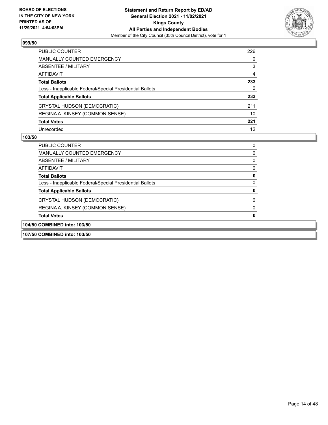

| PUBLIC COUNTER                                           | 226 |
|----------------------------------------------------------|-----|
| <b>MANUALLY COUNTED EMERGENCY</b>                        | 0   |
| <b>ABSENTEE / MILITARY</b>                               | 3   |
| AFFIDAVIT                                                | 4   |
| <b>Total Ballots</b>                                     | 233 |
| Less - Inapplicable Federal/Special Presidential Ballots | 0   |
| <b>Total Applicable Ballots</b>                          | 233 |
| CRYSTAL HUDSON (DEMOCRATIC)                              | 211 |
| REGINA A. KINSEY (COMMON SENSE)                          | 10  |
| <b>Total Votes</b>                                       | 221 |
| Unrecorded                                               | 12  |

| 107/50 COMBINED into: 103/50                             |  |
|----------------------------------------------------------|--|
| 104/50 COMBINED into: 103/50                             |  |
| <b>Total Votes</b>                                       |  |
| REGINA A. KINSEY (COMMON SENSE)                          |  |
| CRYSTAL HUDSON (DEMOCRATIC)                              |  |
| <b>Total Applicable Ballots</b>                          |  |
| Less - Inapplicable Federal/Special Presidential Ballots |  |
| <b>Total Ballots</b>                                     |  |
| AFFIDAVIT                                                |  |
| ABSENTEE / MILITARY                                      |  |
| <b>MANUALLY COUNTED EMERGENCY</b>                        |  |
| <b>PUBLIC COUNTER</b>                                    |  |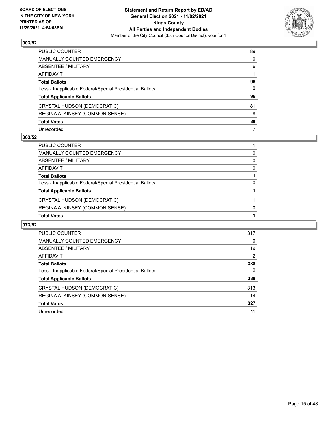

| PUBLIC COUNTER                                           | 89           |
|----------------------------------------------------------|--------------|
| <b>MANUALLY COUNTED EMERGENCY</b>                        | $\Omega$     |
| ABSENTEE / MILITARY                                      | 6            |
| <b>AFFIDAVIT</b>                                         |              |
| <b>Total Ballots</b>                                     | 96           |
| Less - Inapplicable Federal/Special Presidential Ballots | $\mathbf{0}$ |
| <b>Total Applicable Ballots</b>                          | 96           |
| CRYSTAL HUDSON (DEMOCRATIC)                              | 81           |
| REGINA A. KINSEY (COMMON SENSE)                          | 8            |
| <b>Total Votes</b>                                       | 89           |
| Unrecorded                                               | 7            |

## **063/52**

| PUBLIC COUNTER                                           |   |
|----------------------------------------------------------|---|
| <b>MANUALLY COUNTED EMERGENCY</b>                        | 0 |
| ABSENTEE / MILITARY                                      | 0 |
| AFFIDAVIT                                                | 0 |
| <b>Total Ballots</b>                                     |   |
| Less - Inapplicable Federal/Special Presidential Ballots | 0 |
| <b>Total Applicable Ballots</b>                          |   |
| CRYSTAL HUDSON (DEMOCRATIC)                              |   |
| REGINA A. KINSEY (COMMON SENSE)                          | O |
| <b>Total Votes</b>                                       |   |

| <b>PUBLIC COUNTER</b>                                    | 317 |
|----------------------------------------------------------|-----|
| MANUALLY COUNTED EMERGENCY                               | 0   |
| ABSENTEE / MILITARY                                      | 19  |
| AFFIDAVIT                                                | 2   |
| <b>Total Ballots</b>                                     | 338 |
| Less - Inapplicable Federal/Special Presidential Ballots | 0   |
| <b>Total Applicable Ballots</b>                          | 338 |
| CRYSTAL HUDSON (DEMOCRATIC)                              | 313 |
| REGINA A. KINSEY (COMMON SENSE)                          | 14  |
| <b>Total Votes</b>                                       | 327 |
| Unrecorded                                               | 11  |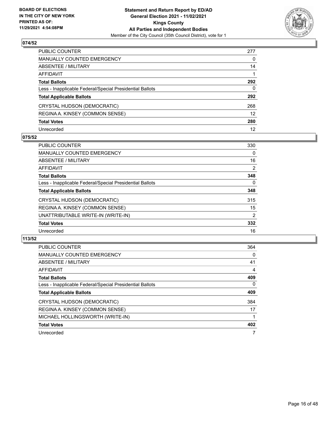

| PUBLIC COUNTER                                           | 277               |
|----------------------------------------------------------|-------------------|
| <b>MANUALLY COUNTED EMERGENCY</b>                        | 0                 |
| <b>ABSENTEE / MILITARY</b>                               | 14                |
| AFFIDAVIT                                                |                   |
| <b>Total Ballots</b>                                     | 292               |
| Less - Inapplicable Federal/Special Presidential Ballots | $\mathbf{0}$      |
| <b>Total Applicable Ballots</b>                          | 292               |
| CRYSTAL HUDSON (DEMOCRATIC)                              | 268               |
| REGINA A. KINSEY (COMMON SENSE)                          | $12 \overline{ }$ |
| <b>Total Votes</b>                                       | 280               |
| Unrecorded                                               | 12                |

## **075/52**

| <b>PUBLIC COUNTER</b>                                    | 330            |
|----------------------------------------------------------|----------------|
| <b>MANUALLY COUNTED EMERGENCY</b>                        | 0              |
| ABSENTEE / MILITARY                                      | 16             |
| AFFIDAVIT                                                | 2              |
| <b>Total Ballots</b>                                     | 348            |
| Less - Inapplicable Federal/Special Presidential Ballots | $\Omega$       |
| <b>Total Applicable Ballots</b>                          | 348            |
| CRYSTAL HUDSON (DEMOCRATIC)                              | 315            |
| REGINA A. KINSEY (COMMON SENSE)                          | 15             |
| UNATTRIBUTABLE WRITE-IN (WRITE-IN)                       | $\overline{2}$ |
| <b>Total Votes</b>                                       | 332            |
| Unrecorded                                               | 16             |

| <b>PUBLIC COUNTER</b>                                    | 364 |
|----------------------------------------------------------|-----|
| <b>MANUALLY COUNTED EMERGENCY</b>                        | 0   |
| ABSENTEE / MILITARY                                      | 41  |
| AFFIDAVIT                                                | 4   |
| <b>Total Ballots</b>                                     | 409 |
| Less - Inapplicable Federal/Special Presidential Ballots | 0   |
| <b>Total Applicable Ballots</b>                          | 409 |
| CRYSTAL HUDSON (DEMOCRATIC)                              | 384 |
| REGINA A. KINSEY (COMMON SENSE)                          | 17  |
| MICHAEL HOLLINGSWORTH (WRITE-IN)                         |     |
| <b>Total Votes</b>                                       | 402 |
| Unrecorded                                               | 7   |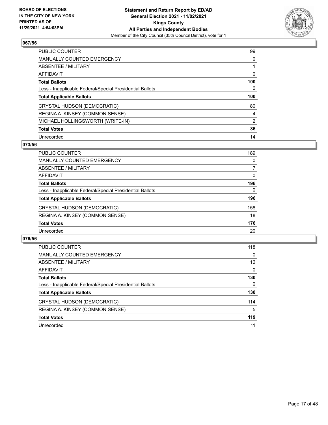

| <b>PUBLIC COUNTER</b>                                    | 99       |
|----------------------------------------------------------|----------|
| <b>MANUALLY COUNTED EMERGENCY</b>                        | $\Omega$ |
| ABSENTEE / MILITARY                                      |          |
| <b>AFFIDAVIT</b>                                         | 0        |
| <b>Total Ballots</b>                                     | 100      |
| Less - Inapplicable Federal/Special Presidential Ballots | 0        |
| <b>Total Applicable Ballots</b>                          | 100      |
| CRYSTAL HUDSON (DEMOCRATIC)                              | 80       |
|                                                          |          |
| REGINA A. KINSEY (COMMON SENSE)                          | 4        |
| MICHAEL HOLLINGSWORTH (WRITE-IN)                         | 2        |
| <b>Total Votes</b>                                       | 86       |

#### **073/56**

| <b>PUBLIC COUNTER</b>                                    | 189      |
|----------------------------------------------------------|----------|
| MANUALLY COUNTED EMERGENCY                               | 0        |
| ABSENTEE / MILITARY                                      |          |
| <b>AFFIDAVIT</b>                                         | 0        |
| <b>Total Ballots</b>                                     | 196      |
| Less - Inapplicable Federal/Special Presidential Ballots | $\Omega$ |
| <b>Total Applicable Ballots</b>                          | 196      |
| CRYSTAL HUDSON (DEMOCRATIC)                              | 158      |
| REGINA A. KINSEY (COMMON SENSE)                          | 18       |
| <b>Total Votes</b>                                       | 176      |
| Unrecorded                                               | 20       |

| <b>PUBLIC COUNTER</b>                                    | 118               |
|----------------------------------------------------------|-------------------|
| MANUALLY COUNTED EMERGENCY                               | $\Omega$          |
| ABSENTEE / MILITARY                                      | $12 \overline{ }$ |
| AFFIDAVIT                                                | $\Omega$          |
| <b>Total Ballots</b>                                     | 130               |
| Less - Inapplicable Federal/Special Presidential Ballots | $\mathbf{0}$      |
| <b>Total Applicable Ballots</b>                          | 130               |
| CRYSTAL HUDSON (DEMOCRATIC)                              | 114               |
| REGINA A. KINSEY (COMMON SENSE)                          | 5                 |
| <b>Total Votes</b>                                       | 119               |
| Unrecorded                                               | 11                |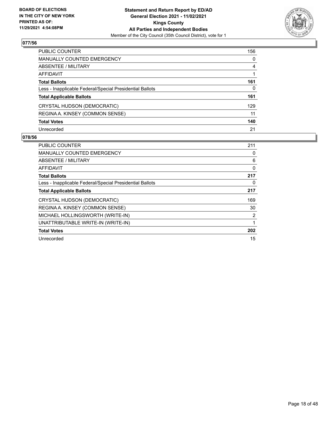

| PUBLIC COUNTER                                           | 156          |
|----------------------------------------------------------|--------------|
| <b>MANUALLY COUNTED EMERGENCY</b>                        | $\mathbf{0}$ |
| <b>ABSENTEE / MILITARY</b>                               | 4            |
| AFFIDAVIT                                                |              |
| <b>Total Ballots</b>                                     | 161          |
| Less - Inapplicable Federal/Special Presidential Ballots | 0            |
| <b>Total Applicable Ballots</b>                          | 161          |
| CRYSTAL HUDSON (DEMOCRATIC)                              | 129          |
| REGINA A. KINSEY (COMMON SENSE)                          | 11           |
| <b>Total Votes</b>                                       | 140          |
| Unrecorded                                               | 21           |

| PUBLIC COUNTER                                           | 211      |
|----------------------------------------------------------|----------|
| <b>MANUALLY COUNTED EMERGENCY</b>                        | 0        |
| ABSENTEE / MILITARY                                      | 6        |
| AFFIDAVIT                                                | $\Omega$ |
| <b>Total Ballots</b>                                     | 217      |
| Less - Inapplicable Federal/Special Presidential Ballots | 0        |
| <b>Total Applicable Ballots</b>                          | 217      |
| CRYSTAL HUDSON (DEMOCRATIC)                              | 169      |
| REGINA A. KINSEY (COMMON SENSE)                          | 30       |
| MICHAEL HOLLINGSWORTH (WRITE-IN)                         | 2        |
| UNATTRIBUTABLE WRITE-IN (WRITE-IN)                       | 1        |
| <b>Total Votes</b>                                       | 202      |
| Unrecorded                                               | 15       |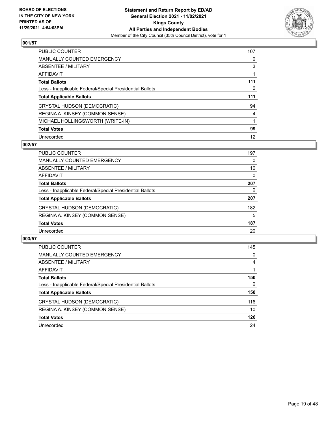

| <b>PUBLIC COUNTER</b>                                    | 107 |
|----------------------------------------------------------|-----|
| <b>MANUALLY COUNTED EMERGENCY</b>                        | 0   |
| ABSENTEE / MILITARY                                      | 3   |
| <b>AFFIDAVIT</b>                                         |     |
| <b>Total Ballots</b>                                     | 111 |
| Less - Inapplicable Federal/Special Presidential Ballots | 0   |
| <b>Total Applicable Ballots</b>                          | 111 |
|                                                          |     |
| CRYSTAL HUDSON (DEMOCRATIC)                              | 94  |
| REGINA A. KINSEY (COMMON SENSE)                          | 4   |
| MICHAEL HOLLINGSWORTH (WRITE-IN)                         |     |
| <b>Total Votes</b>                                       | 99  |

#### **002/57**

| PUBLIC COUNTER                                           | 197 |
|----------------------------------------------------------|-----|
| MANUALLY COUNTED EMERGENCY                               | 0   |
| ABSENTEE / MILITARY                                      | 10  |
| AFFIDAVIT                                                | 0   |
| <b>Total Ballots</b>                                     | 207 |
| Less - Inapplicable Federal/Special Presidential Ballots | 0   |
| <b>Total Applicable Ballots</b>                          | 207 |
| CRYSTAL HUDSON (DEMOCRATIC)                              | 182 |
| REGINA A. KINSEY (COMMON SENSE)                          | 5   |
| <b>Total Votes</b>                                       | 187 |
| Unrecorded                                               | 20  |

| <b>PUBLIC COUNTER</b>                                    | 145      |
|----------------------------------------------------------|----------|
| <b>MANUALLY COUNTED EMERGENCY</b>                        | 0        |
| ABSENTEE / MILITARY                                      | 4        |
| AFFIDAVIT                                                |          |
| <b>Total Ballots</b>                                     | 150      |
| Less - Inapplicable Federal/Special Presidential Ballots | $\Omega$ |
| <b>Total Applicable Ballots</b>                          | 150      |
| CRYSTAL HUDSON (DEMOCRATIC)                              | 116      |
| REGINA A. KINSEY (COMMON SENSE)                          | 10       |
| <b>Total Votes</b>                                       | 126      |
| Unrecorded                                               | 24       |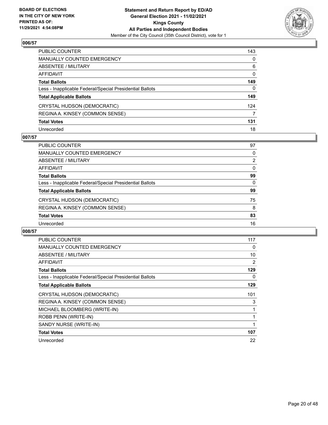

| PUBLIC COUNTER                                           | 143          |
|----------------------------------------------------------|--------------|
| MANUALLY COUNTED EMERGENCY                               | $\mathbf{0}$ |
| ABSENTEE / MILITARY                                      | 6            |
| <b>AFFIDAVIT</b>                                         | $\mathbf{0}$ |
| <b>Total Ballots</b>                                     | 149          |
| Less - Inapplicable Federal/Special Presidential Ballots | $\mathbf{0}$ |
| <b>Total Applicable Ballots</b>                          | 149          |
| CRYSTAL HUDSON (DEMOCRATIC)                              | 124          |
| REGINA A. KINSEY (COMMON SENSE)                          | 7            |
| <b>Total Votes</b>                                       | 131          |
| Unrecorded                                               | 18           |

# **007/57**

| <b>PUBLIC COUNTER</b>                                    | 97       |
|----------------------------------------------------------|----------|
| <b>MANUALLY COUNTED EMERGENCY</b>                        | 0        |
| ABSENTEE / MILITARY                                      | 2        |
| AFFIDAVIT                                                | $\Omega$ |
| <b>Total Ballots</b>                                     | 99       |
| Less - Inapplicable Federal/Special Presidential Ballots | $\Omega$ |
| <b>Total Applicable Ballots</b>                          | 99       |
| CRYSTAL HUDSON (DEMOCRATIC)                              | 75       |
| REGINA A. KINSEY (COMMON SENSE)                          | 8        |
| <b>Total Votes</b>                                       | 83       |
| Unrecorded                                               | 16       |

| PUBLIC COUNTER                                           | 117 |
|----------------------------------------------------------|-----|
| <b>MANUALLY COUNTED EMERGENCY</b>                        | 0   |
| ABSENTEE / MILITARY                                      | 10  |
| <b>AFFIDAVIT</b>                                         | 2   |
| <b>Total Ballots</b>                                     | 129 |
| Less - Inapplicable Federal/Special Presidential Ballots | 0   |
| <b>Total Applicable Ballots</b>                          | 129 |
| CRYSTAL HUDSON (DEMOCRATIC)                              | 101 |
| REGINA A. KINSEY (COMMON SENSE)                          | 3   |
| MICHAEL BLOOMBERG (WRITE-IN)                             |     |
|                                                          |     |
| ROBB PENN (WRITE-IN)                                     |     |
| SANDY NURSE (WRITE-IN)                                   |     |
| <b>Total Votes</b>                                       | 107 |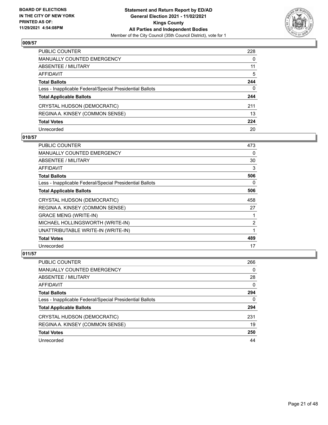

| PUBLIC COUNTER                                           | 228      |
|----------------------------------------------------------|----------|
| MANUALLY COUNTED EMERGENCY                               | 0        |
| ABSENTEE / MILITARY                                      | 11       |
| AFFIDAVIT                                                | 5        |
| Total Ballots                                            | 244      |
| Less - Inapplicable Federal/Special Presidential Ballots | $\Omega$ |
| <b>Total Applicable Ballots</b>                          | 244      |
| CRYSTAL HUDSON (DEMOCRATIC)                              | 211      |
| REGINA A. KINSEY (COMMON SENSE)                          | 13       |
| <b>Total Votes</b>                                       | 224      |
| Unrecorded                                               | 20       |

## **010/57**

| <b>PUBLIC COUNTER</b>                                    | 473            |
|----------------------------------------------------------|----------------|
| <b>MANUALLY COUNTED EMERGENCY</b>                        | 0              |
| ABSENTEE / MILITARY                                      | 30             |
| <b>AFFIDAVIT</b>                                         | 3              |
| <b>Total Ballots</b>                                     | 506            |
| Less - Inapplicable Federal/Special Presidential Ballots | 0              |
| <b>Total Applicable Ballots</b>                          | 506            |
| CRYSTAL HUDSON (DEMOCRATIC)                              | 458            |
| REGINA A. KINSEY (COMMON SENSE)                          | 27             |
| <b>GRACE MENG (WRITE-IN)</b>                             |                |
| MICHAEL HOLLINGSWORTH (WRITE-IN)                         | $\overline{2}$ |
| UNATTRIBUTABLE WRITE-IN (WRITE-IN)                       |                |
| <b>Total Votes</b>                                       | 489            |
| Unrecorded                                               | 17             |

| PUBLIC COUNTER                                           | 266 |
|----------------------------------------------------------|-----|
| MANUALLY COUNTED EMERGENCY                               | 0   |
| <b>ABSENTEE / MILITARY</b>                               | 28  |
| AFFIDAVIT                                                | 0   |
| <b>Total Ballots</b>                                     | 294 |
| Less - Inapplicable Federal/Special Presidential Ballots | 0   |
| <b>Total Applicable Ballots</b>                          | 294 |
| CRYSTAL HUDSON (DEMOCRATIC)                              | 231 |
| REGINA A. KINSEY (COMMON SENSE)                          | 19  |
| <b>Total Votes</b>                                       | 250 |
| Unrecorded                                               | 44  |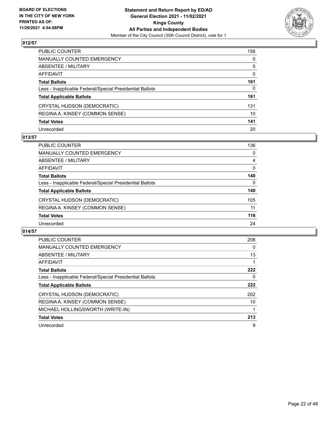

| PUBLIC COUNTER                                           | 156          |
|----------------------------------------------------------|--------------|
| MANUALLY COUNTED EMERGENCY                               | $\mathbf{0}$ |
| ABSENTEE / MILITARY                                      | 5            |
| AFFIDAVIT                                                | 0            |
| Total Ballots                                            | 161          |
| Less - Inapplicable Federal/Special Presidential Ballots | 0            |
| <b>Total Applicable Ballots</b>                          | 161          |
| CRYSTAL HUDSON (DEMOCRATIC)                              | 131          |
| REGINA A. KINSEY (COMMON SENSE)                          | 10           |
| <b>Total Votes</b>                                       | 141          |
| Unrecorded                                               | 20           |

# **013/57**

| PUBLIC COUNTER                                           | 136      |
|----------------------------------------------------------|----------|
| MANUALLY COUNTED EMERGENCY                               | 0        |
| <b>ABSENTEE / MILITARY</b>                               | 4        |
| AFFIDAVIT                                                | $\Omega$ |
| <b>Total Ballots</b>                                     | 140      |
| Less - Inapplicable Federal/Special Presidential Ballots | $\Omega$ |
| <b>Total Applicable Ballots</b>                          | 140      |
| CRYSTAL HUDSON (DEMOCRATIC)                              | 105      |
| REGINA A. KINSEY (COMMON SENSE)                          | 11       |
| <b>Total Votes</b>                                       | 116      |
| Unrecorded                                               | 24       |

| <b>PUBLIC COUNTER</b>                                    | 208 |
|----------------------------------------------------------|-----|
| <b>MANUALLY COUNTED EMERGENCY</b>                        | 0   |
| ABSENTEE / MILITARY                                      | 13  |
| AFFIDAVIT                                                |     |
| <b>Total Ballots</b>                                     | 222 |
| Less - Inapplicable Federal/Special Presidential Ballots | 0   |
| <b>Total Applicable Ballots</b>                          | 222 |
| CRYSTAL HUDSON (DEMOCRATIC)                              | 202 |
| REGINA A. KINSEY (COMMON SENSE)                          | 10  |
| MICHAEL HOLLINGSWORTH (WRITE-IN)                         |     |
| <b>Total Votes</b>                                       | 213 |
| Unrecorded                                               | 9   |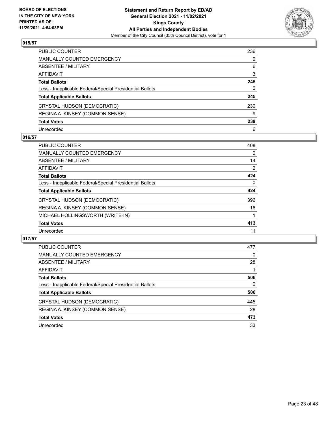

| PUBLIC COUNTER                                           | 236          |
|----------------------------------------------------------|--------------|
| <b>MANUALLY COUNTED EMERGENCY</b>                        | 0            |
| <b>ABSENTEE / MILITARY</b>                               | 6            |
| AFFIDAVIT                                                | 3            |
| <b>Total Ballots</b>                                     | 245          |
| Less - Inapplicable Federal/Special Presidential Ballots | $\mathbf{0}$ |
| <b>Total Applicable Ballots</b>                          | 245          |
| CRYSTAL HUDSON (DEMOCRATIC)                              | 230          |
| REGINA A. KINSEY (COMMON SENSE)                          | 9            |
| <b>Total Votes</b>                                       | 239          |
| Unrecorded                                               | 6            |

# **016/57**

| PUBLIC COUNTER                                           | 408 |
|----------------------------------------------------------|-----|
| <b>MANUALLY COUNTED EMERGENCY</b>                        | 0   |
| ABSENTEE / MILITARY                                      | 14  |
| AFFIDAVIT                                                | 2   |
| <b>Total Ballots</b>                                     | 424 |
| Less - Inapplicable Federal/Special Presidential Ballots | 0   |
| <b>Total Applicable Ballots</b>                          | 424 |
| CRYSTAL HUDSON (DEMOCRATIC)                              | 396 |
| REGINA A. KINSEY (COMMON SENSE)                          | 16  |
| MICHAEL HOLLINGSWORTH (WRITE-IN)                         |     |
| <b>Total Votes</b>                                       | 413 |
| Unrecorded                                               | 11  |

| <b>PUBLIC COUNTER</b>                                    | 477      |
|----------------------------------------------------------|----------|
| <b>MANUALLY COUNTED EMERGENCY</b>                        | $\Omega$ |
| ABSENTEE / MILITARY                                      | 28       |
| AFFIDAVIT                                                |          |
| <b>Total Ballots</b>                                     | 506      |
| Less - Inapplicable Federal/Special Presidential Ballots | $\Omega$ |
| <b>Total Applicable Ballots</b>                          | 506      |
| CRYSTAL HUDSON (DEMOCRATIC)                              | 445      |
| REGINA A. KINSEY (COMMON SENSE)                          | 28       |
| <b>Total Votes</b>                                       | 473      |
| Unrecorded                                               | 33       |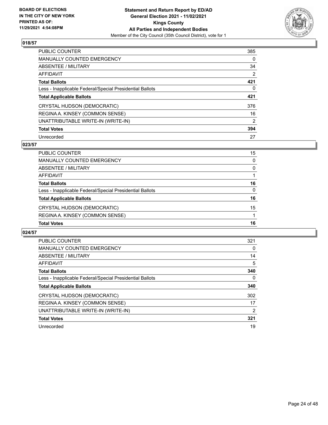

| PUBLIC COUNTER                                           | 385      |
|----------------------------------------------------------|----------|
| <b>MANUALLY COUNTED EMERGENCY</b>                        | $\Omega$ |
| ABSENTEE / MILITARY                                      | 34       |
| AFFIDAVIT                                                | 2        |
| <b>Total Ballots</b>                                     | 421      |
| Less - Inapplicable Federal/Special Presidential Ballots | 0        |
| <b>Total Applicable Ballots</b>                          | 421      |
| CRYSTAL HUDSON (DEMOCRATIC)                              | 376      |
| REGINA A. KINSEY (COMMON SENSE)                          | 16       |
| UNATTRIBUTABLE WRITE-IN (WRITE-IN)                       | 2        |
| <b>Total Votes</b>                                       | 394      |
| Unrecorded                                               | 27       |

#### **023/57**

| REGINA A. KINSEY (COMMON SENSE)<br><b>Total Votes</b>    | 16       |
|----------------------------------------------------------|----------|
|                                                          |          |
| CRYSTAL HUDSON (DEMOCRATIC)                              | 15       |
| <b>Total Applicable Ballots</b>                          | 16       |
| Less - Inapplicable Federal/Special Presidential Ballots | $\Omega$ |
| <b>Total Ballots</b>                                     | 16       |
| AFFIDAVIT                                                |          |
| ABSENTEE / MILITARY                                      | $\Omega$ |
| MANUALLY COUNTED EMERGENCY                               | $\Omega$ |
| <b>PUBLIC COUNTER</b>                                    | 15       |

| <b>PUBLIC COUNTER</b>                                    | 321 |
|----------------------------------------------------------|-----|
| <b>MANUALLY COUNTED EMERGENCY</b>                        | 0   |
| ABSENTEE / MILITARY                                      | 14  |
| AFFIDAVIT                                                | 5   |
| <b>Total Ballots</b>                                     | 340 |
| Less - Inapplicable Federal/Special Presidential Ballots | 0   |
| <b>Total Applicable Ballots</b>                          | 340 |
| CRYSTAL HUDSON (DEMOCRATIC)                              | 302 |
| REGINA A. KINSEY (COMMON SENSE)                          | 17  |
| UNATTRIBUTABLE WRITE-IN (WRITE-IN)                       | 2   |
| <b>Total Votes</b>                                       | 321 |
| Unrecorded                                               | 19  |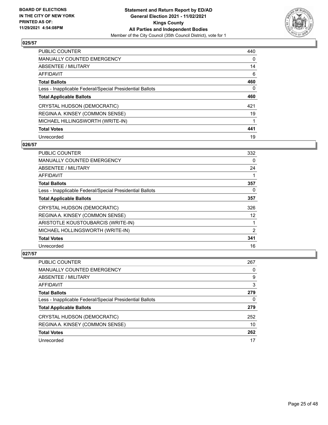

| PUBLIC COUNTER                                           | 440      |
|----------------------------------------------------------|----------|
| <b>MANUALLY COUNTED EMERGENCY</b>                        | $\Omega$ |
| ABSENTEE / MILITARY                                      | 14       |
| AFFIDAVIT                                                | 6        |
| <b>Total Ballots</b>                                     | 460      |
| Less - Inapplicable Federal/Special Presidential Ballots | 0        |
| <b>Total Applicable Ballots</b>                          | 460      |
| CRYSTAL HUDSON (DEMOCRATIC)                              | 421      |
| REGINA A. KINSEY (COMMON SENSE)                          | 19       |
| MICHAEL HILLINGSWORTH (WRITE-IN)                         |          |
| <b>Total Votes</b>                                       | 441      |
| Unrecorded                                               | 19       |

## **026/57**

| <b>PUBLIC COUNTER</b>                                    | 332      |
|----------------------------------------------------------|----------|
| <b>MANUALLY COUNTED EMERGENCY</b>                        | $\Omega$ |
| ABSENTEE / MILITARY                                      | 24       |
| AFFIDAVIT                                                |          |
| <b>Total Ballots</b>                                     | 357      |
| Less - Inapplicable Federal/Special Presidential Ballots | 0        |
| <b>Total Applicable Ballots</b>                          | 357      |
| CRYSTAL HUDSON (DEMOCRATIC)                              | 326      |
| REGINA A. KINSEY (COMMON SENSE)                          | 12       |
| ARISTOTLE KOUSTOUBARCIS (WRITE-IN)                       |          |
| MICHAEL HOLLINGSWORTH (WRITE-IN)                         | 2        |
| <b>Total Votes</b>                                       | 341      |
| Unrecorded                                               | 16       |

| PUBLIC COUNTER                                           | 267 |
|----------------------------------------------------------|-----|
| MANUALLY COUNTED EMERGENCY                               | 0   |
| ABSENTEE / MILITARY                                      | 9   |
| AFFIDAVIT                                                | 3   |
| <b>Total Ballots</b>                                     | 279 |
| Less - Inapplicable Federal/Special Presidential Ballots | 0   |
| <b>Total Applicable Ballots</b>                          | 279 |
| CRYSTAL HUDSON (DEMOCRATIC)                              | 252 |
| REGINA A. KINSEY (COMMON SENSE)                          | 10  |
| <b>Total Votes</b>                                       | 262 |
| Unrecorded                                               | 17  |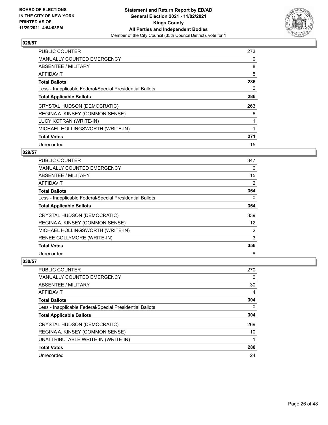

| <b>PUBLIC COUNTER</b>                                    | 273 |
|----------------------------------------------------------|-----|
| <b>MANUALLY COUNTED EMERGENCY</b>                        | 0   |
| ABSENTEE / MILITARY                                      | 8   |
| <b>AFFIDAVIT</b>                                         | 5   |
| <b>Total Ballots</b>                                     | 286 |
| Less - Inapplicable Federal/Special Presidential Ballots | 0   |
| <b>Total Applicable Ballots</b>                          | 286 |
| CRYSTAL HUDSON (DEMOCRATIC)                              | 263 |
| REGINA A. KINSEY (COMMON SENSE)                          | 6   |
| LUCY KOTRAN (WRITE-IN)                                   |     |
| MICHAEL HOLLINGSWORTH (WRITE-IN)                         |     |
| <b>Total Votes</b>                                       | 271 |
| Unrecorded                                               | 15  |

# **029/57**

| <b>PUBLIC COUNTER</b>                                    | 347 |
|----------------------------------------------------------|-----|
| MANUALLY COUNTED EMERGENCY                               | 0   |
| ABSENTEE / MILITARY                                      | 15  |
| AFFIDAVIT                                                | 2   |
| <b>Total Ballots</b>                                     | 364 |
| Less - Inapplicable Federal/Special Presidential Ballots | 0   |
| <b>Total Applicable Ballots</b>                          | 364 |
| CRYSTAL HUDSON (DEMOCRATIC)                              | 339 |
| REGINA A. KINSEY (COMMON SENSE)                          | 12  |
| MICHAEL HOLLINGSWORTH (WRITE-IN)                         | 2   |
| RENEE COLLYMORE (WRITE-IN)                               | 3   |
| <b>Total Votes</b>                                       | 356 |
| Unrecorded                                               | 8   |

| <b>PUBLIC COUNTER</b>                                    | 270 |
|----------------------------------------------------------|-----|
| <b>MANUALLY COUNTED EMERGENCY</b>                        | 0   |
| ABSENTEE / MILITARY                                      | 30  |
| AFFIDAVIT                                                | 4   |
| <b>Total Ballots</b>                                     | 304 |
| Less - Inapplicable Federal/Special Presidential Ballots | 0   |
| <b>Total Applicable Ballots</b>                          | 304 |
| CRYSTAL HUDSON (DEMOCRATIC)                              | 269 |
| REGINA A. KINSEY (COMMON SENSE)                          | 10  |
| UNATTRIBUTABLE WRITE-IN (WRITE-IN)                       |     |
| <b>Total Votes</b>                                       | 280 |
| Unrecorded                                               | 24  |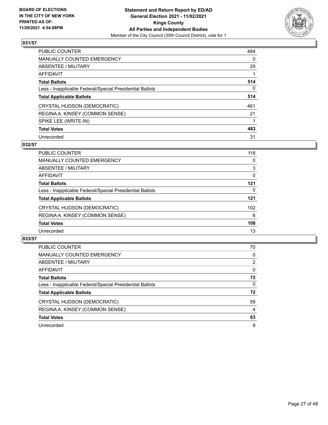

| <b>PUBLIC COUNTER</b>                                    | 484      |
|----------------------------------------------------------|----------|
| <b>MANUALLY COUNTED EMERGENCY</b>                        | $\Omega$ |
| ABSENTEE / MILITARY                                      | 29       |
| AFFIDAVIT                                                |          |
| <b>Total Ballots</b>                                     | 514      |
| Less - Inapplicable Federal/Special Presidential Ballots | $\Omega$ |
| <b>Total Applicable Ballots</b>                          | 514      |
| CRYSTAL HUDSON (DEMOCRATIC)                              | 461      |
| REGINA A. KINSEY (COMMON SENSE)                          | 21       |
| SPIKE LEE (WRITE-IN)                                     |          |
| <b>Total Votes</b>                                       | 483      |
| Unrecorded                                               | 31       |

#### **032/57**

| <b>PUBLIC COUNTER</b>                                    | 118 |
|----------------------------------------------------------|-----|
| <b>MANUALLY COUNTED EMERGENCY</b>                        | 0   |
| ABSENTEE / MILITARY                                      | 3   |
| AFFIDAVIT                                                | 0   |
| <b>Total Ballots</b>                                     | 121 |
| Less - Inapplicable Federal/Special Presidential Ballots | 0   |
| <b>Total Applicable Ballots</b>                          | 121 |
| CRYSTAL HUDSON (DEMOCRATIC)                              | 102 |
| REGINA A. KINSEY (COMMON SENSE)                          | 6   |
| <b>Total Votes</b>                                       | 108 |
| Unrecorded                                               | 13  |

| <b>PUBLIC COUNTER</b>                                    | 70             |
|----------------------------------------------------------|----------------|
| <b>MANUALLY COUNTED EMERGENCY</b>                        | 0              |
| ABSENTEE / MILITARY                                      | $\overline{2}$ |
| AFFIDAVIT                                                | $\Omega$       |
| <b>Total Ballots</b>                                     | 72             |
| Less - Inapplicable Federal/Special Presidential Ballots | $\Omega$       |
| <b>Total Applicable Ballots</b>                          | 72             |
| CRYSTAL HUDSON (DEMOCRATIC)                              | 59             |
| REGINA A. KINSEY (COMMON SENSE)                          | 4              |
| <b>Total Votes</b>                                       | 63             |
| Unrecorded                                               | 9              |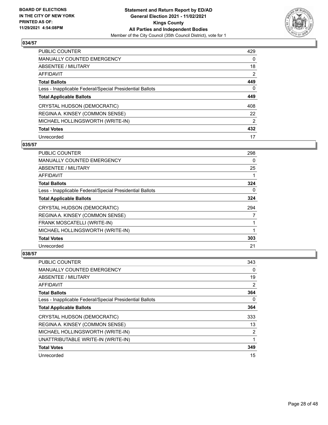

| <b>PUBLIC COUNTER</b>                                    | 429            |
|----------------------------------------------------------|----------------|
| <b>MANUALLY COUNTED EMERGENCY</b>                        | $\Omega$       |
| ABSENTEE / MILITARY                                      | 18             |
| AFFIDAVIT                                                | $\overline{2}$ |
| <b>Total Ballots</b>                                     | 449            |
| Less - Inapplicable Federal/Special Presidential Ballots | 0              |
| <b>Total Applicable Ballots</b>                          | 449            |
| CRYSTAL HUDSON (DEMOCRATIC)                              | 408            |
| REGINA A. KINSEY (COMMON SENSE)                          | 22             |
| MICHAEL HOLLINGSWORTH (WRITE-IN)                         | 2              |
| <b>Total Votes</b>                                       | 432            |
| Unrecorded                                               | 17             |

## **035/57**

| PUBLIC COUNTER                                           | 298 |
|----------------------------------------------------------|-----|
| <b>MANUALLY COUNTED EMERGENCY</b>                        | 0   |
| ABSENTEE / MILITARY                                      | 25  |
| AFFIDAVIT                                                |     |
| <b>Total Ballots</b>                                     | 324 |
| Less - Inapplicable Federal/Special Presidential Ballots | 0   |
| <b>Total Applicable Ballots</b>                          | 324 |
| CRYSTAL HUDSON (DEMOCRATIC)                              | 294 |
| REGINA A. KINSEY (COMMON SENSE)                          | 7   |
| FRANK MOSCATELLI (WRITE-IN)                              |     |
| MICHAEL HOLLINGSWORTH (WRITE-IN)                         |     |
| <b>Total Votes</b>                                       | 303 |
| Unrecorded                                               | 21  |

| <b>PUBLIC COUNTER</b>                                    | 343 |
|----------------------------------------------------------|-----|
| MANUALLY COUNTED EMERGENCY                               | 0   |
| ABSENTEE / MILITARY                                      | 19  |
| AFFIDAVIT                                                | 2   |
| <b>Total Ballots</b>                                     | 364 |
| Less - Inapplicable Federal/Special Presidential Ballots | 0   |
| <b>Total Applicable Ballots</b>                          | 364 |
| CRYSTAL HUDSON (DEMOCRATIC)                              | 333 |
| REGINA A. KINSEY (COMMON SENSE)                          | 13  |
| MICHAEL HOLLINGSWORTH (WRITE-IN)                         | 2   |
| UNATTRIBUTABLE WRITE-IN (WRITE-IN)                       | 1   |
| <b>Total Votes</b>                                       | 349 |
| Unrecorded                                               | 15  |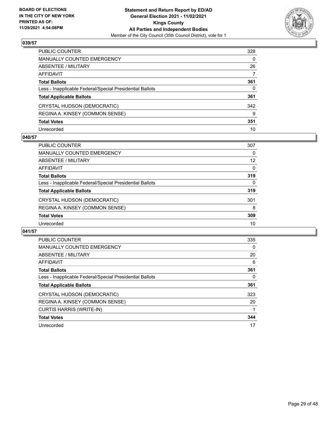

| PUBLIC COUNTER                                           | 328          |
|----------------------------------------------------------|--------------|
| <b>MANUALLY COUNTED EMERGENCY</b>                        | $\mathbf{0}$ |
| ABSENTEE / MILITARY                                      | 26           |
| AFFIDAVIT                                                | 7            |
| <b>Total Ballots</b>                                     | 361          |
| Less - Inapplicable Federal/Special Presidential Ballots | $\Omega$     |
| <b>Total Applicable Ballots</b>                          | 361          |
| CRYSTAL HUDSON (DEMOCRATIC)                              | 342          |
| REGINA A. KINSEY (COMMON SENSE)                          | 9            |
| <b>Total Votes</b>                                       | 351          |
| Unrecorded                                               | 10           |

## **040/57**

| <b>PUBLIC COUNTER</b>                                    | 307      |
|----------------------------------------------------------|----------|
| <b>MANUALLY COUNTED EMERGENCY</b>                        | 0        |
| ABSENTEE / MILITARY                                      | 12       |
| AFFIDAVIT                                                | $\Omega$ |
| <b>Total Ballots</b>                                     | 319      |
| Less - Inapplicable Federal/Special Presidential Ballots | $\Omega$ |
| <b>Total Applicable Ballots</b>                          | 319      |
| CRYSTAL HUDSON (DEMOCRATIC)                              | 301      |
| REGINA A. KINSEY (COMMON SENSE)                          | 8        |
| <b>Total Votes</b>                                       | 309      |
| Unrecorded                                               | 10       |

| PUBLIC COUNTER                                           | 335 |
|----------------------------------------------------------|-----|
| <b>MANUALLY COUNTED EMERGENCY</b>                        | 0   |
| ABSENTEE / MILITARY                                      | 20  |
| <b>AFFIDAVIT</b>                                         | 6   |
| <b>Total Ballots</b>                                     | 361 |
| Less - Inapplicable Federal/Special Presidential Ballots | 0   |
| <b>Total Applicable Ballots</b>                          | 361 |
| CRYSTAL HUDSON (DEMOCRATIC)                              | 323 |
| REGINA A. KINSEY (COMMON SENSE)                          | 20  |
| <b>CURTIS HARRIS (WRITE-IN)</b>                          |     |
| <b>Total Votes</b>                                       | 344 |
| Unrecorded                                               | 17  |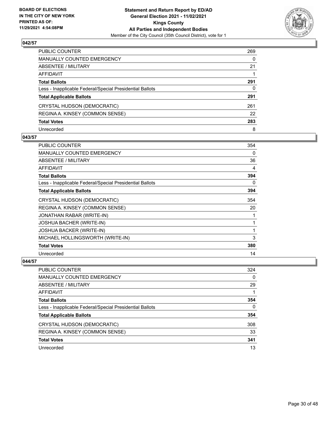

| PUBLIC COUNTER                                           | 269 |
|----------------------------------------------------------|-----|
| MANUALLY COUNTED EMERGENCY                               | 0   |
| ABSENTEE / MILITARY                                      | 21  |
| AFFIDAVIT                                                |     |
| Total Ballots                                            | 291 |
| Less - Inapplicable Federal/Special Presidential Ballots | 0   |
| <b>Total Applicable Ballots</b>                          | 291 |
| CRYSTAL HUDSON (DEMOCRATIC)                              | 261 |
| REGINA A. KINSEY (COMMON SENSE)                          | 22  |
| <b>Total Votes</b>                                       | 283 |
| Unrecorded                                               | 8   |

## **043/57**

| <b>PUBLIC COUNTER</b>                                    | 354 |
|----------------------------------------------------------|-----|
| <b>MANUALLY COUNTED EMERGENCY</b>                        | 0   |
| ABSENTEE / MILITARY                                      | 36  |
| AFFIDAVIT                                                | 4   |
| <b>Total Ballots</b>                                     | 394 |
| Less - Inapplicable Federal/Special Presidential Ballots | 0   |
| <b>Total Applicable Ballots</b>                          | 394 |
| CRYSTAL HUDSON (DEMOCRATIC)                              | 354 |
| REGINA A. KINSEY (COMMON SENSE)                          | 20  |
| JONATHAN RABAR (WRITE-IN)                                |     |
| JOSHUA BACHER (WRITE-IN)                                 |     |
| JOSHUA BACKER (WRITE-IN)                                 |     |
| MICHAEL HOLLINGSWORTH (WRITE-IN)                         | 3   |
| <b>Total Votes</b>                                       | 380 |
| Unrecorded                                               | 14  |

| <b>PUBLIC COUNTER</b>                                    | 324 |
|----------------------------------------------------------|-----|
| MANUALLY COUNTED EMERGENCY                               | 0   |
| ABSENTEE / MILITARY                                      | 29  |
| AFFIDAVIT                                                |     |
| <b>Total Ballots</b>                                     | 354 |
| Less - Inapplicable Federal/Special Presidential Ballots | 0   |
| <b>Total Applicable Ballots</b>                          | 354 |
| CRYSTAL HUDSON (DEMOCRATIC)                              | 308 |
| REGINA A. KINSEY (COMMON SENSE)                          | 33  |
| <b>Total Votes</b>                                       | 341 |
| Unrecorded                                               | 13  |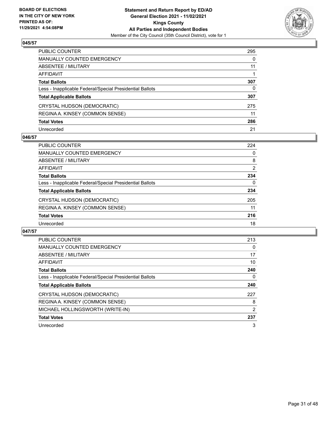

| PUBLIC COUNTER                                           | 295      |
|----------------------------------------------------------|----------|
| MANUALLY COUNTED EMERGENCY                               | 0        |
| ABSENTEE / MILITARY                                      | 11       |
| AFFIDAVIT                                                |          |
| Total Ballots                                            | 307      |
| Less - Inapplicable Federal/Special Presidential Ballots | $\Omega$ |
| <b>Total Applicable Ballots</b>                          | 307      |
| CRYSTAL HUDSON (DEMOCRATIC)                              | 275      |
| REGINA A. KINSEY (COMMON SENSE)                          | 11       |
| <b>Total Votes</b>                                       | 286      |
| Unrecorded                                               | 21       |

## **046/57**

| <b>PUBLIC COUNTER</b>                                    | 224 |
|----------------------------------------------------------|-----|
| <b>MANUALLY COUNTED EMERGENCY</b>                        | 0   |
| ABSENTEE / MILITARY                                      | 8   |
| AFFIDAVIT                                                | 2   |
| <b>Total Ballots</b>                                     | 234 |
| Less - Inapplicable Federal/Special Presidential Ballots | 0   |
| <b>Total Applicable Ballots</b>                          | 234 |
| CRYSTAL HUDSON (DEMOCRATIC)                              | 205 |
| REGINA A. KINSEY (COMMON SENSE)                          | 11  |
| <b>Total Votes</b>                                       | 216 |
| Unrecorded                                               | 18  |

| PUBLIC COUNTER                                           | 213            |
|----------------------------------------------------------|----------------|
| <b>MANUALLY COUNTED EMERGENCY</b>                        | 0              |
| ABSENTEE / MILITARY                                      | 17             |
| AFFIDAVIT                                                | 10             |
| <b>Total Ballots</b>                                     | 240            |
| Less - Inapplicable Federal/Special Presidential Ballots | 0              |
| <b>Total Applicable Ballots</b>                          | 240            |
| CRYSTAL HUDSON (DEMOCRATIC)                              | 227            |
| REGINA A. KINSEY (COMMON SENSE)                          | 8              |
| MICHAEL HOLLINGSWORTH (WRITE-IN)                         | $\overline{2}$ |
| <b>Total Votes</b>                                       | 237            |
| Unrecorded                                               | 3              |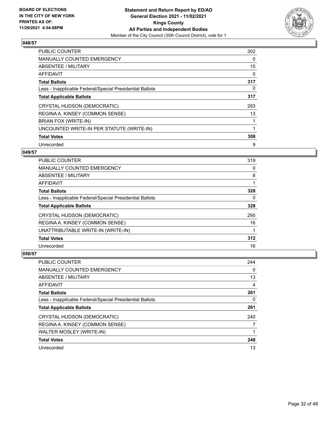

| <b>PUBLIC COUNTER</b>                                    | 302         |
|----------------------------------------------------------|-------------|
| MANUALLY COUNTED EMERGENCY                               | $\Omega$    |
| ABSENTEE / MILITARY                                      | 15          |
| AFFIDAVIT                                                | 0           |
| <b>Total Ballots</b>                                     | 317         |
| Less - Inapplicable Federal/Special Presidential Ballots | $\Omega$    |
| <b>Total Applicable Ballots</b>                          | 317         |
| CRYSTAL HUDSON (DEMOCRATIC)                              | 293         |
| REGINA A. KINSEY (COMMON SENSE)                          | 13          |
| BRIAN FOX (WRITE-IN)                                     | $\mathbf 1$ |
| UNCOUNTED WRITE-IN PER STATUTE (WRITE-IN)                |             |
| <b>Total Votes</b>                                       | 308         |
| Unrecorded                                               | 9           |

## **049/57**

| <b>PUBLIC COUNTER</b>                                    | 319 |
|----------------------------------------------------------|-----|
| <b>MANUALLY COUNTED EMERGENCY</b>                        | 0   |
| ABSENTEE / MILITARY                                      | 8   |
| AFFIDAVIT                                                |     |
| <b>Total Ballots</b>                                     | 328 |
| Less - Inapplicable Federal/Special Presidential Ballots | 0   |
| <b>Total Applicable Ballots</b>                          | 328 |
| CRYSTAL HUDSON (DEMOCRATIC)                              | 295 |
| REGINA A. KINSEY (COMMON SENSE)                          | 16  |
| UNATTRIBUTABLE WRITE-IN (WRITE-IN)                       |     |
| <b>Total Votes</b>                                       | 312 |
| Unrecorded                                               | 16  |

| PUBLIC COUNTER                                           | 244 |
|----------------------------------------------------------|-----|
| <b>MANUALLY COUNTED EMERGENCY</b>                        | 0   |
| ABSENTEE / MILITARY                                      | 13  |
| AFFIDAVIT                                                | 4   |
| <b>Total Ballots</b>                                     | 261 |
| Less - Inapplicable Federal/Special Presidential Ballots | 0   |
| <b>Total Applicable Ballots</b>                          | 261 |
| CRYSTAL HUDSON (DEMOCRATIC)                              | 240 |
| REGINA A. KINSEY (COMMON SENSE)                          |     |
| WALTER MOSLEY (WRITE-IN)                                 |     |
| <b>Total Votes</b>                                       | 248 |
| Unrecorded                                               | 13  |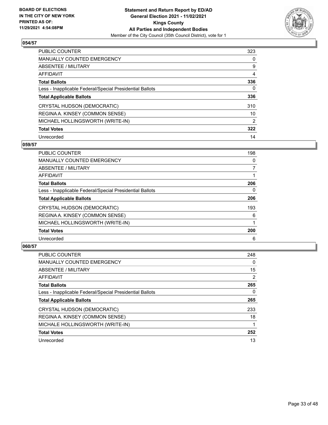

| <b>PUBLIC COUNTER</b>                                    | 323 |
|----------------------------------------------------------|-----|
| <b>MANUALLY COUNTED EMERGENCY</b>                        | 0   |
| ABSENTEE / MILITARY                                      | 9   |
| AFFIDAVIT                                                | 4   |
| <b>Total Ballots</b>                                     | 336 |
| Less - Inapplicable Federal/Special Presidential Ballots | 0   |
| <b>Total Applicable Ballots</b>                          | 336 |
| CRYSTAL HUDSON (DEMOCRATIC)                              | 310 |
| REGINA A. KINSEY (COMMON SENSE)                          | 10  |
| MICHAEL HOLLINGSWORTH (WRITE-IN)                         | 2   |
| <b>Total Votes</b>                                       | 322 |
| Unrecorded                                               | 14  |

## **059/57**

| <b>PUBLIC COUNTER</b>                                    | 198 |
|----------------------------------------------------------|-----|
| <b>MANUALLY COUNTED EMERGENCY</b>                        | 0   |
| ABSENTEE / MILITARY                                      | 7   |
| <b>AFFIDAVIT</b>                                         |     |
| <b>Total Ballots</b>                                     | 206 |
| Less - Inapplicable Federal/Special Presidential Ballots | 0   |
| <b>Total Applicable Ballots</b>                          | 206 |
| CRYSTAL HUDSON (DEMOCRATIC)                              | 193 |
| REGINA A. KINSEY (COMMON SENSE)                          | 6   |
| MICHAEL HOLLINGSWORTH (WRITE-IN)                         |     |
| <b>Total Votes</b>                                       | 200 |
| Unrecorded                                               | 6   |

| <b>PUBLIC COUNTER</b>                                    | 248            |
|----------------------------------------------------------|----------------|
| <b>MANUALLY COUNTED EMERGENCY</b>                        | $\Omega$       |
| ABSENTEE / MILITARY                                      | 15             |
| AFFIDAVIT                                                | $\overline{2}$ |
| <b>Total Ballots</b>                                     | 265            |
| Less - Inapplicable Federal/Special Presidential Ballots | 0              |
| <b>Total Applicable Ballots</b>                          | 265            |
| CRYSTAL HUDSON (DEMOCRATIC)                              | 233            |
| REGINA A. KINSEY (COMMON SENSE)                          | 18             |
| MICHALE HOLLINGSWORTH (WRITE-IN)                         |                |
| <b>Total Votes</b>                                       | 252            |
| Unrecorded                                               | 13             |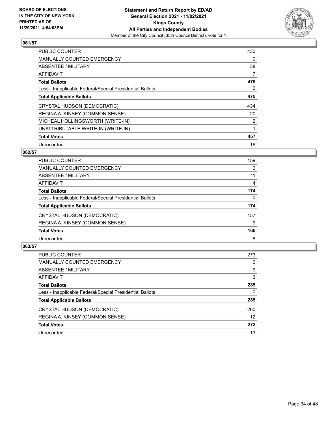

| PUBLIC COUNTER                                           | 430 |
|----------------------------------------------------------|-----|
| <b>MANUALLY COUNTED EMERGENCY</b>                        | 0   |
| ABSENTEE / MILITARY                                      | 38  |
| AFFIDAVIT                                                | 7   |
| <b>Total Ballots</b>                                     | 475 |
| Less - Inapplicable Federal/Special Presidential Ballots | 0   |
| <b>Total Applicable Ballots</b>                          | 475 |
| CRYSTAL HUDSON (DEMOCRATIC)                              | 434 |
| REGINA A. KINSEY (COMMON SENSE)                          | 20  |
| MICHEAL HOLLINGSWORTH (WRITE-IN)                         | 2   |
| UNATTRIBUTABLE WRITE-IN (WRITE-IN)                       |     |
| <b>Total Votes</b>                                       | 457 |
| Unrecorded                                               | 18  |

# **062/57**

| <b>PUBLIC COUNTER</b>                                    | 159      |
|----------------------------------------------------------|----------|
| <b>MANUALLY COUNTED EMERGENCY</b>                        | $\Omega$ |
| ABSENTEE / MILITARY                                      | 11       |
| <b>AFFIDAVIT</b>                                         | 4        |
| <b>Total Ballots</b>                                     | 174      |
| Less - Inapplicable Federal/Special Presidential Ballots | 0        |
| <b>Total Applicable Ballots</b>                          | 174      |
| CRYSTAL HUDSON (DEMOCRATIC)                              | 157      |
| REGINA A. KINSEY (COMMON SENSE)                          | 9        |
| <b>Total Votes</b>                                       | 166      |
| Unrecorded                                               | 8        |

| <b>PUBLIC COUNTER</b>                                    | 273      |
|----------------------------------------------------------|----------|
| <b>MANUALLY COUNTED EMERGENCY</b>                        | 0        |
| ABSENTEE / MILITARY                                      | 9        |
| AFFIDAVIT                                                | 3        |
| <b>Total Ballots</b>                                     | 285      |
| Less - Inapplicable Federal/Special Presidential Ballots | $\Omega$ |
| <b>Total Applicable Ballots</b>                          | 285      |
| CRYSTAL HUDSON (DEMOCRATIC)                              | 260      |
| REGINA A. KINSEY (COMMON SENSE)                          | 12       |
| <b>Total Votes</b>                                       | 272      |
| Unrecorded                                               | 13       |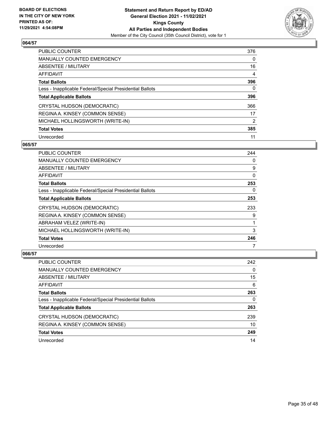

| <b>PUBLIC COUNTER</b>                                    | 376      |
|----------------------------------------------------------|----------|
| <b>MANUALLY COUNTED EMERGENCY</b>                        | $\Omega$ |
| ABSENTEE / MILITARY                                      | 16       |
| AFFIDAVIT                                                | 4        |
| <b>Total Ballots</b>                                     | 396      |
| Less - Inapplicable Federal/Special Presidential Ballots | 0        |
| <b>Total Applicable Ballots</b>                          | 396      |
| CRYSTAL HUDSON (DEMOCRATIC)                              | 366      |
| REGINA A. KINSEY (COMMON SENSE)                          | 17       |
| MICHAEL HOLLINGSWORTH (WRITE-IN)                         | 2        |
| <b>Total Votes</b>                                       | 385      |
| Unrecorded                                               | 11       |

## **065/57**

| <b>PUBLIC COUNTER</b>                                    | 244 |
|----------------------------------------------------------|-----|
| <b>MANUALLY COUNTED EMERGENCY</b>                        | 0   |
| ABSENTEE / MILITARY                                      | 9   |
| AFFIDAVIT                                                | 0   |
| <b>Total Ballots</b>                                     | 253 |
| Less - Inapplicable Federal/Special Presidential Ballots | 0   |
| <b>Total Applicable Ballots</b>                          | 253 |
| CRYSTAL HUDSON (DEMOCRATIC)                              | 233 |
| REGINA A. KINSEY (COMMON SENSE)                          | 9   |
| ABRAHAM VELEZ (WRITE-IN)                                 |     |
| MICHAEL HOLLINGSWORTH (WRITE-IN)                         | 3   |
| <b>Total Votes</b>                                       | 246 |
| Unrecorded                                               |     |

| PUBLIC COUNTER                                           | 242      |
|----------------------------------------------------------|----------|
| MANUALLY COUNTED EMERGENCY                               | $\Omega$ |
| <b>ABSENTEE / MILITARY</b>                               | 15       |
| AFFIDAVIT                                                | 6        |
| <b>Total Ballots</b>                                     | 263      |
| Less - Inapplicable Federal/Special Presidential Ballots | 0        |
| <b>Total Applicable Ballots</b>                          | 263      |
| CRYSTAL HUDSON (DEMOCRATIC)                              | 239      |
| REGINA A. KINSEY (COMMON SENSE)                          | 10       |
| <b>Total Votes</b>                                       | 249      |
| Unrecorded                                               | 14       |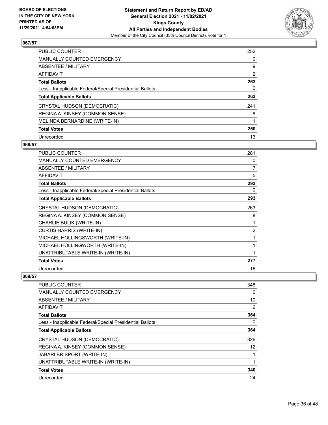

| PUBLIC COUNTER                                           | 252            |
|----------------------------------------------------------|----------------|
| <b>MANUALLY COUNTED EMERGENCY</b>                        | $\Omega$       |
| ABSENTEE / MILITARY                                      | 9              |
| AFFIDAVIT                                                | $\overline{2}$ |
| <b>Total Ballots</b>                                     | 263            |
| Less - Inapplicable Federal/Special Presidential Ballots | 0              |
| <b>Total Applicable Ballots</b>                          | 263            |
| CRYSTAL HUDSON (DEMOCRATIC)                              | 241            |
| REGINA A. KINSEY (COMMON SENSE)                          | 8              |
| MELINDA BERNARDINE (WRITE-IN)                            |                |
| <b>Total Votes</b>                                       | 250            |
| Unrecorded                                               | 13             |

## **068/57**

| <b>PUBLIC COUNTER</b>                                    | 281 |
|----------------------------------------------------------|-----|
| <b>MANUALLY COUNTED EMERGENCY</b>                        | 0   |
| ABSENTEE / MILITARY                                      | 7   |
| <b>AFFIDAVIT</b>                                         | 5   |
| <b>Total Ballots</b>                                     | 293 |
| Less - Inapplicable Federal/Special Presidential Ballots | 0   |
| <b>Total Applicable Ballots</b>                          | 293 |
| CRYSTAL HUDSON (DEMOCRATIC)                              | 263 |
| REGINA A. KINSEY (COMMON SENSE)                          | 8   |
| CHARLIE BULIK (WRITE-IN)                                 | 1   |
| <b>CURTIS HARRIS (WRITE-IN)</b>                          | 2   |
| MICHAEL HOLLINGSWORTH (WRITE-IN)                         | 1   |
| MICHAEL HOLLINGWORTH (WRITE-IN)                          | 1   |
| UNATTRIBUTABLE WRITE-IN (WRITE-IN)                       | 1   |
| <b>Total Votes</b>                                       | 277 |
| Unrecorded                                               | 16  |

| <b>PUBLIC COUNTER</b>                                    | 348 |
|----------------------------------------------------------|-----|
|                                                          |     |
| <b>MANUALLY COUNTED EMERGENCY</b>                        | 0   |
| ABSENTEE / MILITARY                                      | 10  |
| <b>AFFIDAVIT</b>                                         | 6   |
| <b>Total Ballots</b>                                     | 364 |
| Less - Inapplicable Federal/Special Presidential Ballots | 0   |
| <b>Total Applicable Ballots</b>                          | 364 |
| CRYSTAL HUDSON (DEMOCRATIC)                              | 326 |
| REGINA A. KINSEY (COMMON SENSE)                          | 12  |
| <b>JABARI BRISPORT (WRITE-IN)</b>                        |     |
| UNATTRIBUTABLE WRITE-IN (WRITE-IN)                       |     |
| <b>Total Votes</b>                                       | 340 |
| Unrecorded                                               | 24  |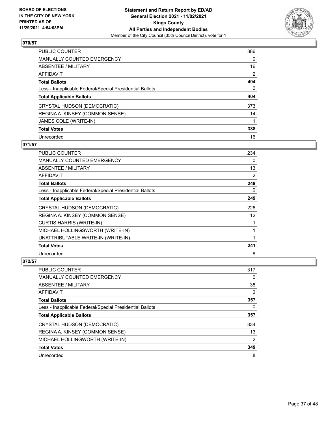

| PUBLIC COUNTER                                           | 386            |
|----------------------------------------------------------|----------------|
| <b>MANUALLY COUNTED EMERGENCY</b>                        | $\Omega$       |
| <b>ABSENTEE / MILITARY</b>                               | 16             |
| AFFIDAVIT                                                | $\overline{2}$ |
| <b>Total Ballots</b>                                     | 404            |
| Less - Inapplicable Federal/Special Presidential Ballots | $\Omega$       |
| <b>Total Applicable Ballots</b>                          | 404            |
| CRYSTAL HUDSON (DEMOCRATIC)                              | 373            |
| REGINA A. KINSEY (COMMON SENSE)                          | 14             |
| JAMES COLE (WRITE-IN)                                    |                |
| <b>Total Votes</b>                                       | 388            |
| Unrecorded                                               | 16             |

## **071/57**

| <b>PUBLIC COUNTER</b>                                    | 234 |
|----------------------------------------------------------|-----|
| MANUALLY COUNTED EMERGENCY                               | 0   |
| ABSENTEE / MILITARY                                      | 13  |
| <b>AFFIDAVIT</b>                                         | 2   |
| <b>Total Ballots</b>                                     | 249 |
| Less - Inapplicable Federal/Special Presidential Ballots | 0   |
| <b>Total Applicable Ballots</b>                          | 249 |
| CRYSTAL HUDSON (DEMOCRATIC)                              | 226 |
| REGINA A. KINSEY (COMMON SENSE)                          | 12  |
| <b>CURTIS HARRIS (WRITE-IN)</b>                          | 1   |
| MICHAEL HOLLINGSWORTH (WRITE-IN)                         | 1   |
| UNATTRIBUTABLE WRITE-IN (WRITE-IN)                       | 1   |
| <b>Total Votes</b>                                       | 241 |
| Unrecorded                                               | 8   |

| <b>PUBLIC COUNTER</b>                                    | 317            |
|----------------------------------------------------------|----------------|
| <b>MANUALLY COUNTED EMERGENCY</b>                        | 0              |
| ABSENTEE / MILITARY                                      | 38             |
| AFFIDAVIT                                                | 2              |
| <b>Total Ballots</b>                                     | 357            |
| Less - Inapplicable Federal/Special Presidential Ballots | 0              |
| <b>Total Applicable Ballots</b>                          | 357            |
|                                                          |                |
| CRYSTAL HUDSON (DEMOCRATIC)                              | 334            |
| REGINA A. KINSEY (COMMON SENSE)                          | 13             |
| MICHAEL HOLLINGWORTH (WRITE-IN)                          | $\overline{2}$ |
| <b>Total Votes</b>                                       | 349            |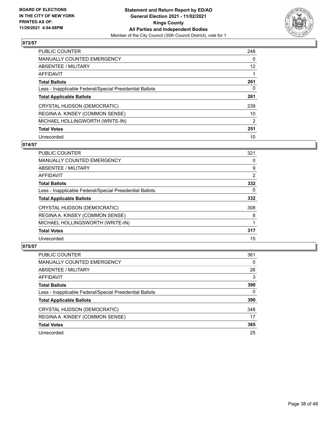

| <b>PUBLIC COUNTER</b>                                    | 248      |
|----------------------------------------------------------|----------|
| <b>MANUALLY COUNTED EMERGENCY</b>                        | $\Omega$ |
| ABSENTEE / MILITARY                                      | 12       |
| AFFIDAVIT                                                |          |
| <b>Total Ballots</b>                                     | 261      |
| Less - Inapplicable Federal/Special Presidential Ballots | 0        |
| <b>Total Applicable Ballots</b>                          | 261      |
| CRYSTAL HUDSON (DEMOCRATIC)                              | 239      |
| REGINA A. KINSEY (COMMON SENSE)                          | 10       |
| MICHAEL HOLLINGWORTH (WRITE-IN)                          | 2        |
| <b>Total Votes</b>                                       | 251      |
| Unrecorded                                               | 10       |

#### **074/57**

| PUBLIC COUNTER                                           | 321            |
|----------------------------------------------------------|----------------|
| <b>MANUALLY COUNTED EMERGENCY</b>                        | 0              |
| ABSENTEE / MILITARY                                      | 9              |
| <b>AFFIDAVIT</b>                                         | $\overline{2}$ |
| <b>Total Ballots</b>                                     | 332            |
| Less - Inapplicable Federal/Special Presidential Ballots | 0              |
| <b>Total Applicable Ballots</b>                          | 332            |
| CRYSTAL HUDSON (DEMOCRATIC)                              | 308            |
| REGINA A. KINSEY (COMMON SENSE)                          | 8              |
| MICHAEL HOLLINGSWORTH (WRITE-IN)                         |                |
| <b>Total Votes</b>                                       | 317            |
| Unrecorded                                               | 15             |

| <b>PUBLIC COUNTER</b>                                    | 361      |
|----------------------------------------------------------|----------|
| <b>MANUALLY COUNTED EMERGENCY</b>                        | $\Omega$ |
| ABSENTEE / MILITARY                                      | 26       |
| AFFIDAVIT                                                | 3        |
| <b>Total Ballots</b>                                     | 390      |
| Less - Inapplicable Federal/Special Presidential Ballots | 0        |
| <b>Total Applicable Ballots</b>                          | 390      |
| CRYSTAL HUDSON (DEMOCRATIC)                              | 348      |
| REGINA A. KINSEY (COMMON SENSE)                          | 17       |
| <b>Total Votes</b>                                       | 365      |
| Unrecorded                                               | 25       |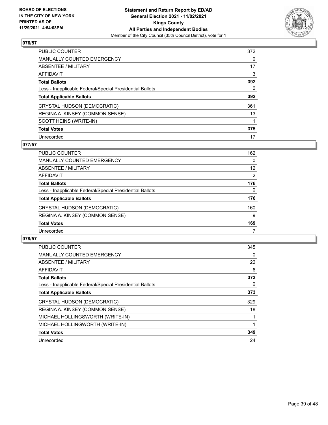

| <b>PUBLIC COUNTER</b>                                    | 372 |
|----------------------------------------------------------|-----|
| <b>MANUALLY COUNTED EMERGENCY</b>                        | 0   |
| ABSENTEE / MILITARY                                      | 17  |
| AFFIDAVIT                                                | 3   |
| <b>Total Ballots</b>                                     | 392 |
| Less - Inapplicable Federal/Special Presidential Ballots | 0   |
| <b>Total Applicable Ballots</b>                          | 392 |
| CRYSTAL HUDSON (DEMOCRATIC)                              | 361 |
| REGINA A. KINSEY (COMMON SENSE)                          | 13  |
| SCOTT HEINS (WRITE-IN)                                   |     |
| <b>Total Votes</b>                                       | 375 |
| Unrecorded                                               | 17  |

## **077/57**

| <b>PUBLIC COUNTER</b>                                    | 162      |
|----------------------------------------------------------|----------|
| <b>MANUALLY COUNTED EMERGENCY</b>                        | $\Omega$ |
| ABSENTEE / MILITARY                                      | 12       |
| AFFIDAVIT                                                | 2        |
| <b>Total Ballots</b>                                     | 176      |
| Less - Inapplicable Federal/Special Presidential Ballots | $\Omega$ |
| <b>Total Applicable Ballots</b>                          | 176      |
| CRYSTAL HUDSON (DEMOCRATIC)                              | 160      |
| REGINA A. KINSEY (COMMON SENSE)                          | 9        |
| <b>Total Votes</b>                                       | 169      |
| Unrecorded                                               |          |

| <b>PUBLIC COUNTER</b>                                    | 345 |
|----------------------------------------------------------|-----|
| <b>MANUALLY COUNTED EMERGENCY</b>                        | 0   |
| ABSENTEE / MILITARY                                      | 22  |
| <b>AFFIDAVIT</b>                                         | 6   |
| <b>Total Ballots</b>                                     | 373 |
| Less - Inapplicable Federal/Special Presidential Ballots | 0   |
| <b>Total Applicable Ballots</b>                          | 373 |
| CRYSTAL HUDSON (DEMOCRATIC)                              | 329 |
| REGINA A. KINSEY (COMMON SENSE)                          | 18  |
| MICHAEL HOLLINGSWORTH (WRITE-IN)                         |     |
| MICHAEL HOLLINGWORTH (WRITE-IN)                          |     |
| <b>Total Votes</b>                                       | 349 |
| Unrecorded                                               | 24  |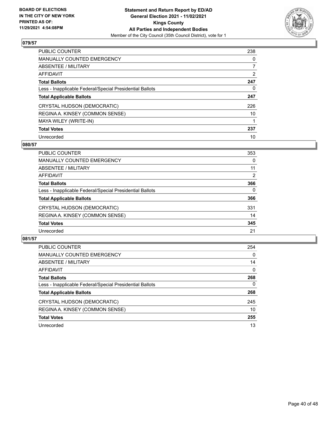

| <b>PUBLIC COUNTER</b>                                    | 238      |
|----------------------------------------------------------|----------|
| <b>MANUALLY COUNTED EMERGENCY</b>                        | $\Omega$ |
| ABSENTEE / MILITARY                                      |          |
| AFFIDAVIT                                                | 2        |
| <b>Total Ballots</b>                                     | 247      |
| Less - Inapplicable Federal/Special Presidential Ballots | 0        |
| <b>Total Applicable Ballots</b>                          | 247      |
| CRYSTAL HUDSON (DEMOCRATIC)                              | 226      |
| REGINA A. KINSEY (COMMON SENSE)                          | 10       |
| MAYA WILEY (WRITE-IN)                                    |          |
| <b>Total Votes</b>                                       | 237      |
| Unrecorded                                               | 10       |

#### **080/57**

| <b>PUBLIC COUNTER</b>                                    | 353      |
|----------------------------------------------------------|----------|
| MANUALLY COUNTED EMERGENCY                               | 0        |
| ABSENTEE / MILITARY                                      | 11       |
| <b>AFFIDAVIT</b>                                         | 2        |
| <b>Total Ballots</b>                                     | 366      |
| Less - Inapplicable Federal/Special Presidential Ballots | $\Omega$ |
| <b>Total Applicable Ballots</b>                          | 366      |
| CRYSTAL HUDSON (DEMOCRATIC)                              | 331      |
| REGINA A. KINSEY (COMMON SENSE)                          | 14       |
| <b>Total Votes</b>                                       | 345      |
| Unrecorded                                               | 21       |

| <b>PUBLIC COUNTER</b>                                    | 254      |
|----------------------------------------------------------|----------|
| <b>MANUALLY COUNTED EMERGENCY</b>                        | $\Omega$ |
| ABSENTEE / MILITARY                                      | 14       |
| AFFIDAVIT                                                | $\Omega$ |
| <b>Total Ballots</b>                                     | 268      |
| Less - Inapplicable Federal/Special Presidential Ballots | 0        |
| <b>Total Applicable Ballots</b>                          | 268      |
| CRYSTAL HUDSON (DEMOCRATIC)                              | 245      |
| REGINA A. KINSEY (COMMON SENSE)                          | 10       |
| <b>Total Votes</b>                                       | 255      |
| Unrecorded                                               | 13       |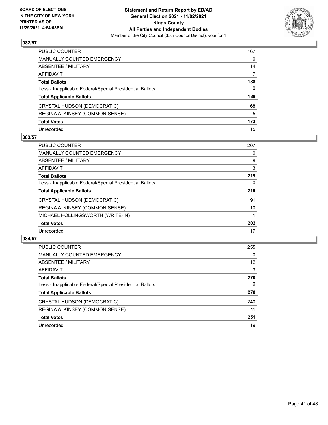

| PUBLIC COUNTER                                           | 167          |
|----------------------------------------------------------|--------------|
| <b>MANUALLY COUNTED EMERGENCY</b>                        | 0            |
| ABSENTEE / MILITARY                                      | 14           |
| AFFIDAVIT                                                | 7            |
| <b>Total Ballots</b>                                     | 188          |
| Less - Inapplicable Federal/Special Presidential Ballots | $\mathbf{0}$ |
| <b>Total Applicable Ballots</b>                          | 188          |
| CRYSTAL HUDSON (DEMOCRATIC)                              | 168          |
| REGINA A. KINSEY (COMMON SENSE)                          | 5            |
| <b>Total Votes</b>                                       | 173          |
| Unrecorded                                               | 15           |

## **083/57**

| <b>PUBLIC COUNTER</b>                                    | 207 |
|----------------------------------------------------------|-----|
| <b>MANUALLY COUNTED EMERGENCY</b>                        | 0   |
| ABSENTEE / MILITARY                                      | 9   |
| AFFIDAVIT                                                | 3   |
| <b>Total Ballots</b>                                     | 219 |
| Less - Inapplicable Federal/Special Presidential Ballots | 0   |
| <b>Total Applicable Ballots</b>                          | 219 |
| CRYSTAL HUDSON (DEMOCRATIC)                              | 191 |
| REGINA A. KINSEY (COMMON SENSE)                          | 10  |
| MICHAEL HOLLINGSWORTH (WRITE-IN)                         |     |
| <b>Total Votes</b>                                       | 202 |
| Unrecorded                                               | 17  |

| <b>PUBLIC COUNTER</b>                                    | 255      |
|----------------------------------------------------------|----------|
| <b>MANUALLY COUNTED EMERGENCY</b>                        | $\Omega$ |
| ABSENTEE / MILITARY                                      | 12       |
| AFFIDAVIT                                                | 3        |
| <b>Total Ballots</b>                                     | 270      |
| Less - Inapplicable Federal/Special Presidential Ballots | $\Omega$ |
| <b>Total Applicable Ballots</b>                          | 270      |
| CRYSTAL HUDSON (DEMOCRATIC)                              | 240      |
| REGINA A. KINSEY (COMMON SENSE)                          | 11       |
| <b>Total Votes</b>                                       | 251      |
| Unrecorded                                               | 19       |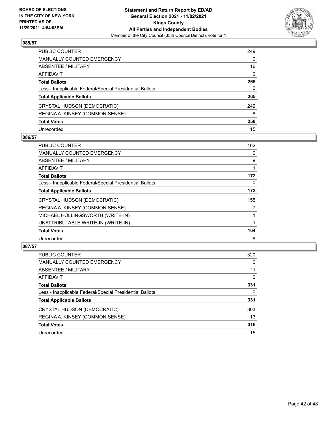

| PUBLIC COUNTER                                           | 249          |
|----------------------------------------------------------|--------------|
| <b>MANUALLY COUNTED EMERGENCY</b>                        | $\mathbf{0}$ |
| ABSENTEE / MILITARY                                      | 16           |
| AFFIDAVIT                                                | $\mathbf{0}$ |
| <b>Total Ballots</b>                                     | 265          |
| Less - Inapplicable Federal/Special Presidential Ballots | $\mathbf{0}$ |
| <b>Total Applicable Ballots</b>                          | 265          |
| CRYSTAL HUDSON (DEMOCRATIC)                              | 242          |
| REGINA A. KINSEY (COMMON SENSE)                          | 8            |
| <b>Total Votes</b>                                       | 250          |
| Unrecorded                                               | 15           |

## **086/57**

| PUBLIC COUNTER                                           | 162 |
|----------------------------------------------------------|-----|
| <b>MANUALLY COUNTED EMERGENCY</b>                        | 0   |
| <b>ABSENTEE / MILITARY</b>                               | 9   |
| <b>AFFIDAVIT</b>                                         |     |
| <b>Total Ballots</b>                                     | 172 |
| Less - Inapplicable Federal/Special Presidential Ballots | 0   |
| <b>Total Applicable Ballots</b>                          | 172 |
| CRYSTAL HUDSON (DEMOCRATIC)                              | 155 |
| REGINA A. KINSEY (COMMON SENSE)                          | 7   |
| MICHAEL HOLLINGSWORTH (WRITE-IN)                         |     |
| UNATTRIBUTABLE WRITE-IN (WRITE-IN)                       |     |
| <b>Total Votes</b>                                       | 164 |
| Unrecorded                                               | 8   |

| <b>PUBLIC COUNTER</b>                                    | 320      |
|----------------------------------------------------------|----------|
| <b>MANUALLY COUNTED EMERGENCY</b>                        | 0        |
| ABSENTEE / MILITARY                                      | 11       |
| AFFIDAVIT                                                | $\Omega$ |
| <b>Total Ballots</b>                                     | 331      |
| Less - Inapplicable Federal/Special Presidential Ballots | 0        |
| <b>Total Applicable Ballots</b>                          | 331      |
| CRYSTAL HUDSON (DEMOCRATIC)                              | 303      |
| REGINA A. KINSEY (COMMON SENSE)                          | 13       |
| <b>Total Votes</b>                                       | 316      |
| Unrecorded                                               | 15       |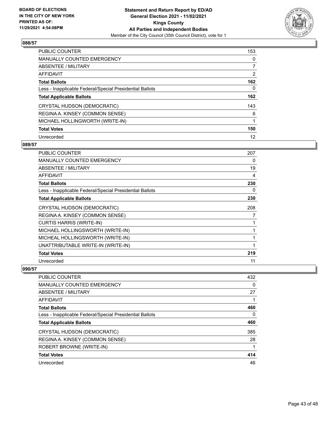

| PUBLIC COUNTER                                           | 153            |
|----------------------------------------------------------|----------------|
| <b>MANUALLY COUNTED EMERGENCY</b>                        | $\Omega$       |
| ABSENTEE / MILITARY                                      |                |
| AFFIDAVIT                                                | $\overline{2}$ |
| <b>Total Ballots</b>                                     | 162            |
| Less - Inapplicable Federal/Special Presidential Ballots | 0              |
| <b>Total Applicable Ballots</b>                          | 162            |
| CRYSTAL HUDSON (DEMOCRATIC)                              | 143            |
| REGINA A. KINSEY (COMMON SENSE)                          | 6              |
| MICHAEL HOLLINGWORTH (WRITE-IN)                          |                |
| <b>Total Votes</b>                                       | 150            |
| Unrecorded                                               | 12             |

#### **089/57**

| <b>PUBLIC COUNTER</b>                                    | 207 |
|----------------------------------------------------------|-----|
| <b>MANUALLY COUNTED EMERGENCY</b>                        | 0   |
| ABSENTEE / MILITARY                                      | 19  |
| AFFIDAVIT                                                | 4   |
| <b>Total Ballots</b>                                     | 230 |
| Less - Inapplicable Federal/Special Presidential Ballots | 0   |
| <b>Total Applicable Ballots</b>                          | 230 |
| CRYSTAL HUDSON (DEMOCRATIC)                              | 208 |
| REGINA A. KINSEY (COMMON SENSE)                          | 7   |
| <b>CURTIS HARRIS (WRITE-IN)</b>                          | 1   |
| MICHAEL HOLLINGSWORTH (WRITE-IN)                         | 1   |
| MICHEAL HOLLINGSWORTH (WRITE-IN)                         | 1   |
| UNATTRIBUTABLE WRITE-IN (WRITE-IN)                       | 1   |
| <b>Total Votes</b>                                       | 219 |
| Unrecorded                                               | 11  |

| <b>PUBLIC COUNTER</b>                                    | 432      |
|----------------------------------------------------------|----------|
| <b>MANUALLY COUNTED EMERGENCY</b>                        | $\Omega$ |
| <b>ABSENTEE / MILITARY</b>                               | 27       |
| AFFIDAVIT                                                |          |
| <b>Total Ballots</b>                                     | 460      |
| Less - Inapplicable Federal/Special Presidential Ballots | 0        |
| <b>Total Applicable Ballots</b>                          | 460      |
| CRYSTAL HUDSON (DEMOCRATIC)                              | 385      |
| REGINA A. KINSEY (COMMON SENSE)                          | 28       |
| ROBERT BROWNE (WRITE-IN)                                 |          |
| <b>Total Votes</b>                                       | 414      |
| Unrecorded                                               | 46       |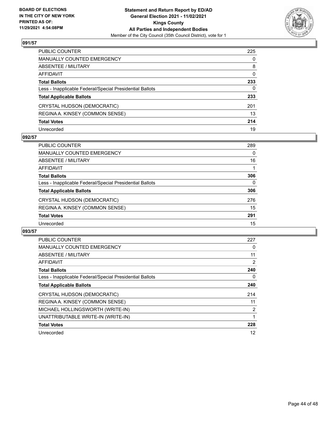

| PUBLIC COUNTER                                           | 225          |
|----------------------------------------------------------|--------------|
| <b>MANUALLY COUNTED EMERGENCY</b>                        | $\mathbf{0}$ |
| ABSENTEE / MILITARY                                      | 8            |
| <b>AFFIDAVIT</b>                                         | $\mathbf{0}$ |
| <b>Total Ballots</b>                                     | 233          |
| Less - Inapplicable Federal/Special Presidential Ballots | 0            |
| <b>Total Applicable Ballots</b>                          | 233          |
| CRYSTAL HUDSON (DEMOCRATIC)                              | 201          |
| REGINA A. KINSEY (COMMON SENSE)                          | 13           |
| <b>Total Votes</b>                                       | 214          |
| Unrecorded                                               | 19           |

# **092/57**

| <b>PUBLIC COUNTER</b>                                    | 289      |
|----------------------------------------------------------|----------|
| <b>MANUALLY COUNTED EMERGENCY</b>                        | 0        |
| ABSENTEE / MILITARY                                      | 16       |
| AFFIDAVIT                                                |          |
| <b>Total Ballots</b>                                     | 306      |
| Less - Inapplicable Federal/Special Presidential Ballots | $\Omega$ |
| <b>Total Applicable Ballots</b>                          | 306      |
| CRYSTAL HUDSON (DEMOCRATIC)                              | 276      |
| REGINA A. KINSEY (COMMON SENSE)                          | 15       |
| <b>Total Votes</b>                                       | 291      |
| Unrecorded                                               | 15       |

| <b>PUBLIC COUNTER</b>                                    | 227 |
|----------------------------------------------------------|-----|
| MANUALLY COUNTED EMERGENCY                               | 0   |
| ABSENTEE / MILITARY                                      | 11  |
| <b>AFFIDAVIT</b>                                         | 2   |
| <b>Total Ballots</b>                                     | 240 |
| Less - Inapplicable Federal/Special Presidential Ballots | 0   |
| <b>Total Applicable Ballots</b>                          | 240 |
| CRYSTAL HUDSON (DEMOCRATIC)                              | 214 |
| REGINA A. KINSEY (COMMON SENSE)                          | 11  |
| MICHAEL HOLLINGSWORTH (WRITE-IN)                         | 2   |
| UNATTRIBUTABLE WRITE-IN (WRITE-IN)                       | 1   |
| <b>Total Votes</b>                                       | 228 |
| Unrecorded                                               | 12  |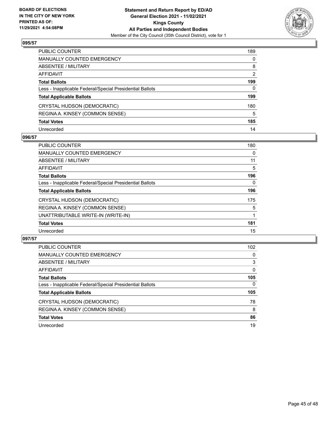

| PUBLIC COUNTER                                           | 189          |
|----------------------------------------------------------|--------------|
| <b>MANUALLY COUNTED EMERGENCY</b>                        | $\mathbf{0}$ |
| ABSENTEE / MILITARY                                      | 8            |
| AFFIDAVIT                                                | 2            |
| <b>Total Ballots</b>                                     | 199          |
| Less - Inapplicable Federal/Special Presidential Ballots | $\mathbf{0}$ |
| <b>Total Applicable Ballots</b>                          | 199          |
| CRYSTAL HUDSON (DEMOCRATIC)                              | 180          |
| REGINA A. KINSEY (COMMON SENSE)                          | 5            |
| <b>Total Votes</b>                                       | 185          |
| Unrecorded                                               | 14           |

## **096/57**

| <b>PUBLIC COUNTER</b>                                    | 180 |
|----------------------------------------------------------|-----|
| <b>MANUALLY COUNTED EMERGENCY</b>                        | 0   |
| ABSENTEE / MILITARY                                      | 11  |
| AFFIDAVIT                                                | 5   |
| <b>Total Ballots</b>                                     | 196 |
| Less - Inapplicable Federal/Special Presidential Ballots | 0   |
| <b>Total Applicable Ballots</b>                          | 196 |
| CRYSTAL HUDSON (DEMOCRATIC)                              | 175 |
| REGINA A. KINSEY (COMMON SENSE)                          | 5   |
| UNATTRIBUTABLE WRITE-IN (WRITE-IN)                       |     |
| <b>Total Votes</b>                                       | 181 |
| Unrecorded                                               | 15  |

| <b>PUBLIC COUNTER</b>                                    | 102 <sub>1</sub> |
|----------------------------------------------------------|------------------|
| <b>MANUALLY COUNTED EMERGENCY</b>                        | $\Omega$         |
| ABSENTEE / MILITARY                                      | 3                |
| AFFIDAVIT                                                | $\Omega$         |
| <b>Total Ballots</b>                                     | 105              |
| Less - Inapplicable Federal/Special Presidential Ballots | $\Omega$         |
| <b>Total Applicable Ballots</b>                          | 105              |
| CRYSTAL HUDSON (DEMOCRATIC)                              | 78               |
| REGINA A. KINSEY (COMMON SENSE)                          | 8                |
| <b>Total Votes</b>                                       | 86               |
| Unrecorded                                               | 19               |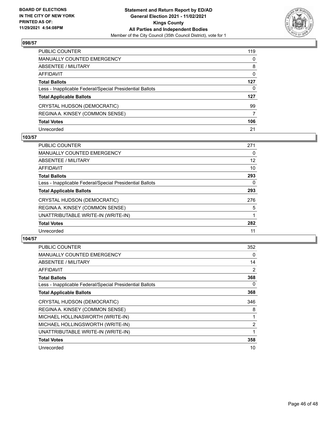

| PUBLIC COUNTER                                           | 119          |
|----------------------------------------------------------|--------------|
| MANUALLY COUNTED EMERGENCY                               | 0            |
| ABSENTEE / MILITARY                                      | 8            |
| AFFIDAVIT                                                | $\mathbf{0}$ |
| Total Ballots                                            | 127          |
| Less - Inapplicable Federal/Special Presidential Ballots | $\mathbf{0}$ |
| <b>Total Applicable Ballots</b>                          | 127          |
| CRYSTAL HUDSON (DEMOCRATIC)                              | 99           |
| REGINA A. KINSEY (COMMON SENSE)                          | 7            |
| <b>Total Votes</b>                                       | 106          |
| Unrecorded                                               | 21           |

## **103/57**

| <b>PUBLIC COUNTER</b>                                    | 271 |
|----------------------------------------------------------|-----|
| <b>MANUALLY COUNTED EMERGENCY</b>                        | 0   |
| ABSENTEE / MILITARY                                      | 12  |
| <b>AFFIDAVIT</b>                                         | 10  |
| <b>Total Ballots</b>                                     | 293 |
| Less - Inapplicable Federal/Special Presidential Ballots | 0   |
| <b>Total Applicable Ballots</b>                          | 293 |
| CRYSTAL HUDSON (DEMOCRATIC)                              | 276 |
| REGINA A. KINSEY (COMMON SENSE)                          | 5   |
| UNATTRIBUTABLE WRITE-IN (WRITE-IN)                       |     |
| <b>Total Votes</b>                                       | 282 |
| Unrecorded                                               | 11  |

| <b>PUBLIC COUNTER</b>                                    | 352            |
|----------------------------------------------------------|----------------|
| <b>MANUALLY COUNTED EMERGENCY</b>                        | 0              |
| ABSENTEE / MILITARY                                      | 14             |
| AFFIDAVIT                                                | 2              |
| <b>Total Ballots</b>                                     | 368            |
| Less - Inapplicable Federal/Special Presidential Ballots | 0              |
| <b>Total Applicable Ballots</b>                          | 368            |
| CRYSTAL HUDSON (DEMOCRATIC)                              | 346            |
| REGINA A. KINSEY (COMMON SENSE)                          | 8              |
| MICHAEL HOLLINASWORTH (WRITE-IN)                         |                |
| MICHAEL HOLLINGSWORTH (WRITE-IN)                         | $\overline{2}$ |
| UNATTRIBUTABLE WRITE-IN (WRITE-IN)                       |                |
| <b>Total Votes</b>                                       | 358            |
| Unrecorded                                               | 10             |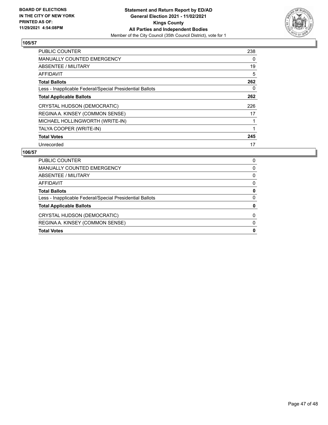

| <b>PUBLIC COUNTER</b>                                    | 238 |
|----------------------------------------------------------|-----|
| <b>MANUALLY COUNTED EMERGENCY</b>                        | 0   |
| ABSENTEE / MILITARY                                      | 19  |
| <b>AFFIDAVIT</b>                                         | 5   |
| <b>Total Ballots</b>                                     | 262 |
| Less - Inapplicable Federal/Special Presidential Ballots | 0   |
| <b>Total Applicable Ballots</b>                          | 262 |
| CRYSTAL HUDSON (DEMOCRATIC)                              | 226 |
| REGINA A. KINSEY (COMMON SENSE)                          | 17  |
| MICHAEL HOLLINGWORTH (WRITE-IN)                          | 1   |
| TALYA COOPER (WRITE-IN)                                  |     |
| <b>Total Votes</b>                                       | 245 |
| Unrecorded                                               | 17  |

| <b>PUBLIC COUNTER</b>                                    |   |
|----------------------------------------------------------|---|
|                                                          | 0 |
| MANUALLY COUNTED EMERGENCY                               | 0 |
| ABSENTEE / MILITARY                                      | 0 |
| AFFIDAVIT                                                | 0 |
| <b>Total Ballots</b>                                     | 0 |
| Less - Inapplicable Federal/Special Presidential Ballots | 0 |
| <b>Total Applicable Ballots</b>                          | 0 |
| CRYSTAL HUDSON (DEMOCRATIC)                              | 0 |
| REGINA A. KINSEY (COMMON SENSE)                          | 0 |
| <b>Total Votes</b>                                       | 0 |